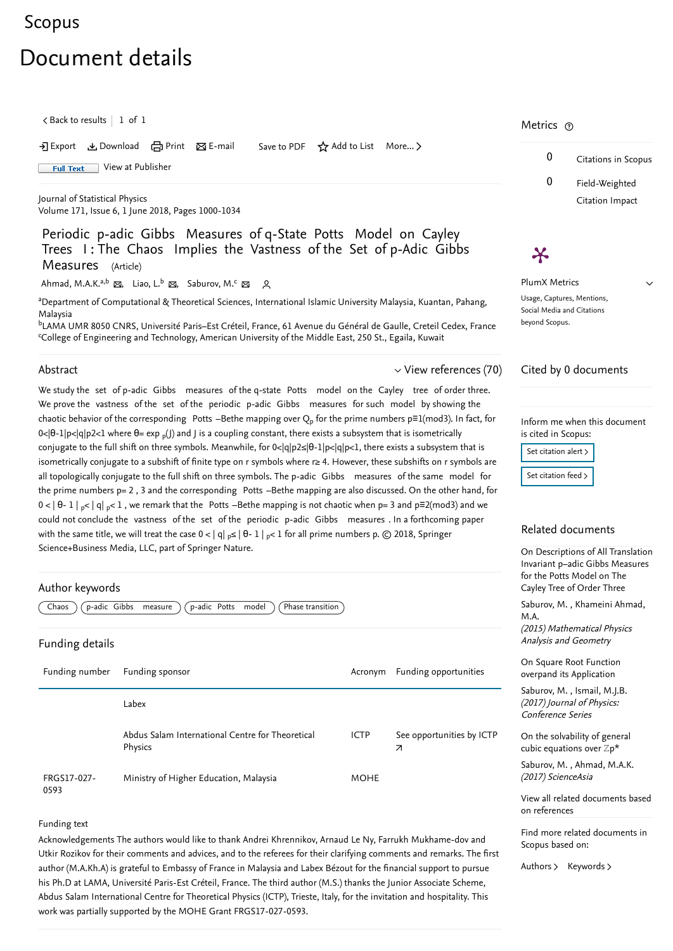# <span id="page-0-1"></span>[Scopus](https://www.scopus.com/home.uri?zone=header&origin=searchbasic)

# Document details

# Periodic p-adic Gibbs Measures of q-State Potts Model on Cayley Trees I : The Chaos Implies the Vastness of the Set of p-Adic Gibbs Measures (Article)

 $\zeta$  [Back to results](https://www.scopus.com/results/results.uri?sort=plf-f&src=s&st1=Periodic+p-adic+Gibbs+Measures+of+q-State+Potts+Model+on+Cayley+Trees+I%3a+The+Chaos+Implies+the+Vastness+of+the+Set+of+p-Adic+Gibbs+Measures&st2=&sid=e85740a43aca01317c0d39e3d999d654&sot=b&sdt=b&sl=154&s=TITLE-ABS-KEY%28Periodic+p-adic+Gibbs+Measures+of+q-State+Potts+Model+on+Cayley+Trees+I%3a+The+Chaos+Implies+the+Vastness+of+the+Set+of+p-Adic+Gibbs+Measures%29&offset=1&origin=recordpage)  $\begin{array}{|c} \hline \end{array}$  1 of 1

[Ahmad, M.A.K.](https://www.scopus.com/authid/detail.uri?authorId=56263174300&eid=2-s2.0-85046738178)<sup>a,b</sup> ⊠, [Liao, L.](https://www.scopus.com/authid/detail.uri?authorId=15840007500&eid=2-s2.0-85046738178)<sup>b</sup> ⊠, [Saburov, M.](https://www.scopus.com/authid/detail.uri?authorId=36348676700&eid=2-s2.0-85046738178)<sup>c</sup> ⊠ A

→ Export & Download and Print ⊠ E-mail Save to PDF  $\frac{1}{N}$  Add to List More... >

<span id="page-0-0"></span>

<sup>a</sup>Department of Computational & Theoretical Sciences, International Islamic University Malaysia, Kuantan, Pahang, Malaysia

<sup>b</sup>LAMA UMR 8050 CNRS, Université Paris–Est Créteil, France, 61 Avenue du Général de Gaulle, Creteil Cedex, France College of Engineering and Technology, American University of the Middle East, 250 St., Egaila, Kuwait

#### Abstract

FRGS17-027- 0593 Ministry of Higher Education, Malaysia MOHE

We study the set of p-adic Gibbs measures of the q-state Potts model on the Cayley tree of order three. We prove the vastness of the set of the periodic p-adic Gibbs measures for such model by showing the chaotic behavior of the corresponding  $\,$  Potts  $-$ Bethe mapping over  ${\rm Q}_p$  for the prime numbers p $\equiv$ 1(mod3). In fact, for 0<|θ-1|p<|q|p2<1 where θ= exp <sub>p</sub>(J) and J is a coupling constant, there exists a subsystem that is isometrically conjugate to the full shift on three symbols. Meanwhile, for 0<|q|p2≤|θ-1|p<|q|p<1, there exists a subsystem that is isometrically conjugate to a subshift of finite type on r symbols where r≥ 4. However, these subshifts on r symbols are all topologically conjugate to the full shift on three symbols. The p-adic Gibbs measures of the same model for the prime numbers p= 2 , 3 and the corresponding Potts –Bethe mapping are also discussed. On the other hand, for 0 < | θ- 1 | <sub>p</sub>< | q| <sub>p</sub>< 1 , we remark that the Potts –Bethe mapping is not chaotic when p= 3 and p≡2(mod3) and we could not conclude the vastness of the set of the periodic p-adic Gibbs measures . In a forthcoming paper with the same title, we will treat the case 0 < | q| <sub>p</sub>≤ | θ- 1 | <sub>p</sub>< 1 for all prime numbers p. © 2018, Springer Science+Business Media, LLC, part of Springer Nature.

[View at Publisher](https://www.scopus.com/redirect/linking.uri?targetURL=https%3a%2f%2fdoi.org%2f10.1007%2fs10955-018-2053-6&locationID=1&categoryID=4&eid=2-s2.0-85046738178&issn=00224715&linkType=ViewAtPublisher&year=2018&origin=recordpage&dig=b18abc02f3850adda857812759ec9579&recordRank=) **Full Text** 

> , [Saburov, M.](https://www.scopus.com/authid/detail.uri?origin=recordpage&authorId=36348676700&zone=relatedDocuments) [Khameini Ahmad,](https://www.scopus.com/authid/detail.uri?origin=recordpage&authorId=56871197500&zone=relatedDocuments)  $(5)$  Mathematical Physics

sis and Geometry

[On Descriptions of All Translation](https://www.scopus.com/record/display.uri?origin=recordpage&zone=relatedDocuments&eid=2-s2.0-84942328586&citeCnt=0&noHighlight=false&sort=plf-f&src=s&st1=Periodic+p-adic+Gibbs+Measures+of+q-State+Potts+Model+on+Cayley+Trees+I%3a+The+Chaos+Implies+the+Vastness+of+the+Set+of+p-Adic+Gibbs+Measures&st2=&sid=e85740a43aca01317c0d39e3d999d654&sot=b&sdt=b&sl=154&s=TITLE-ABS-KEY%28Periodic+p-adic+Gibbs+Measures+of+q-State+Potts+Model+on+Cayley+Trees+I%3a+The+Chaos+Implies+the+Vastness+of+the+Set+of+p-Adic+Gibbs+Measures%29&relpos=0) Invariant p−adic Gibbs Measures r the Potts Model on The y Tree of Order Three

quare Root Function overpand its Application

[On the solvability of general](https://www.scopus.com/record/display.uri?origin=recordpage&zone=relatedDocuments&eid=2-s2.0-85027021594&citeCnt=0&noHighlight=false&sort=plf-f&src=s&st1=Periodic+p-adic+Gibbs+Measures+of+q-State+Potts+Model+on+Cayley+Trees+I%3a+The+Chaos+Implies+the+Vastness+of+the+Set+of+p-Adic+Gibbs+Measures&st2=&sid=e85740a43aca01317c0d39e3d999d654&sot=b&sdt=b&sl=154&s=TITLE-ABS-KEY%28Periodic+p-adic+Gibbs+Measures+of+q-State+Potts+Model+on+Cayley+Trees+I%3a+The+Chaos+Implies+the+Vastness+of+the+Set+of+p-Adic+Gibbs+Measures%29&relpos=2) cubic equations over  $\mathbb{Z}p^*$ 

Abdus Salam International Centre for Theoretical Physics

#### Funding text

Acknowledgements The authors would like to thank Andrei Khrennikov, Arnaud Le Ny, Farrukh Mukhame-dov and Utkir Rozikov for their comments and advices, and to the referees for their clarifying comments and remarks. The first author (M.A.Kh.A) is grateful to Embassy of France in Malaysia and Labex Bézout for the financial support to pursue his Ph.D at LAMA, Université Paris-Est Créteil, France. The third author (M.S.) thanks the Junior Associate Scheme, Abdus Salam International Centre for Theoretical Physics (ICTP), Trieste, Italy, for the invitation and hospitality. This work was partially supported by the MOHE Grant FRGS17-027-0593.

ICTP  $\overline{\mathcal{A}}$ [See opportunities by ICTP](https://www.mendeley.com/research-funding/501100001681/opportunities?dgcid=scopus_referral_fundingacknowledgement)

 $\vee$  [View references \(70\)](#page-1-0)

| Author keywords                                                               |         |                       | for th<br>Cayle        |
|-------------------------------------------------------------------------------|---------|-----------------------|------------------------|
| Phase transition<br>p-adic Gibbs<br>p-adic Potts<br>model<br>measure<br>Chaos |         |                       | Sabur<br>M.A.<br>(2015 |
| <b>Funding details</b>                                                        |         |                       | Analy                  |
| Funding number<br>Funding sponsor                                             | Acronym | Funding opportunities | On So<br>overp         |

# Metrics  $\circledcirc$

[Journal of Statistical Physics](https://www.scopus.com/sourceid/28574?origin=recordpage) Volume 171, Issue 6, 1 June 2018, Pages 1000-1034

> PlumX Metrics Usage, Captures, Mentions, Social Media and Citations beyond Scopus.

0 Citations in Scopus 0 Field-Weighted Citation Impact

 $\vee$ 

# $\boldsymbol{\varkappa}$

# Cited by 0 documents

Inform me when this document is cited in Scopus:

Set citation alert >

[Set citation feed](https://www.scopus.com/results/rss/handler.uri?citeEid=2-s2.0-85046738178) >

# Related documents

, [Saburov, M.](https://www.scopus.com/authid/detail.uri?origin=recordpage&authorId=36348676700&zone=relatedDocuments) [Ismail, M.J.B.](https://www.scopus.com/authid/detail.uri?origin=recordpage&authorId=57194106182&zone=relatedDocuments) (2017) Journal of Physics: Conference Series

, [Saburov, M.](https://www.scopus.com/authid/detail.uri?origin=recordpage&authorId=36348676700&zone=relatedDocuments) [Ahmad, M.A.K.](https://www.scopus.com/authid/detail.uri?origin=recordpage&authorId=56263174300&zone=relatedDocuments) (2017) ScienceAsia

Find more related documents in Scopus based on:

[Authors](https://www.scopus.com/search/submit/mlt.uri?eid=2-s2.0-85046738178&src=s&all=true&origin=recordpage&method=aut&zone=relatedDocuments) > [Keywords](https://www.scopus.com/search/submit/mlt.uri?eid=2-s2.0-85046738178&src=s&all=true&origin=recordpage&method=key&zone=relatedDocuments) >

[View all related documents based](https://www.scopus.com/search/submit/mlt.uri?eid=2-s2.0-85046738178&src=s&all=true&origin=recordpage&method=ref&zone=relatedDocuments) on references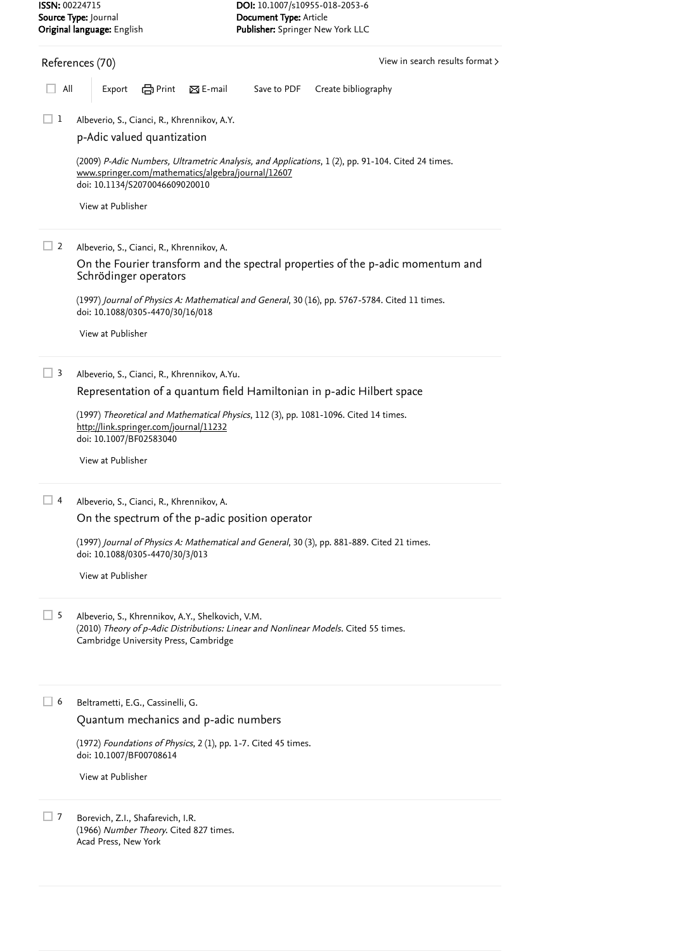### <span id="page-1-0"></span>References (70)

Albeverio, S., Cianci, R., Khrennikov, A.Y.  $\Box$  1

[View in search results format](https://www.scopus.com/search/submit/references.uri?sort=plf-f&src=r&imp=t&sid=5d4b4fe29560ff2872f31b06ed9791b7&sot=rec&sdt=citedreferences&sl=23&s=EID%282-s2.0-85046738178%29&origin=recordpage&citeCnt=1&citingId=2-s2.0-85046738178) >

All Export  $\bigoplus$  Print  $\boxtimes$  E-mail Save to PDF Create bibliography

Albeverio, S., Cianci, R., Khrennikov, A.  $\Box$  2

> (1997) *Journal of Physics A: Mathematical and General*, 30 (16), pp. 5767-5784. [Cited 11 times](https://www.scopus.com/search/submit/citedby.uri?eid=2-s2.0-85046738178&refeid=2-s2.0-0031582703&src=s&origin=reflist&refstat=core). doi: 10.1088/0305-4470/30/16/018

Albeverio, S., Cianci, R., Khrennikov, A.Yu.  $\Box$  3

Albeverio, S., Cianci, R., Khrennikov, A.  $\Box$  4

> (1997) *Journal of Physics A: Mathematical and General*, 30 (3), pp. 881-889. [Cited 21 times](https://www.scopus.com/search/submit/citedby.uri?eid=2-s2.0-85046738178&refeid=2-s2.0-0039054144&src=s&origin=reflist&refstat=core). doi: 10.1088/0305-4470/30/3/013

Albeverio, S., Khrennikov, A.Y., Shelkovich, V.M. (2010) *Theory of p-Adic Distributions: Linear and Nonlinear Models*. [Cited 55 times](https://www.scopus.com/search/submit/citedby.uri?eid=2-s2.0-85046738178&refeid=2-s2.0-54749122117&src=s&origin=reflist&refstat=dummy). Cambridge University Press, Cambridge  $\Box$  5

 $(1972)$  *Foundations of Physics*, 2  $(1)$ , pp. 1-7. [Cited 45 times](https://www.scopus.com/search/submit/citedby.uri?eid=2-s2.0-85046738178&refeid=2-s2.0-0005800687&src=s&origin=reflist&refstat=core). doi: 10.1007/BF00708614

Borevich, Z.I., Shafarevich, I.R. (1966) *Number Theory*. [Cited 827 times](https://www.scopus.com/search/submit/citedby.uri?eid=2-s2.0-85046738178&refeid=2-s2.0-0004202739&src=s&origin=reflist&refstat=dummy). Acad Press, New York  $\Box$  7

(2009) *P-Adic Numbers, Ultrametric Analysis, and Applications*, 1 (2), pp. 91-104. [Cited 24 times](https://www.scopus.com/search/submit/citedby.uri?eid=2-s2.0-85046738178&refeid=2-s2.0-77952252520&src=s&origin=reflist&refstat=core). doi: 10.1134/S2070046609020010 [www.springer.com/mathematics/algebra/journal/12607](https://www.scopus.com/record/www.springer.com/mathematics/algebra/journal/12607)

(1997) *Theoretical and Mathematical Physics*, 112 (3), pp. 1081-1096. [Cited 14 times](https://www.scopus.com/search/submit/citedby.uri?eid=2-s2.0-85046738178&refeid=2-s2.0-0031326770&src=s&origin=reflist&refstat=core). doi: 10.1007/BF02583040 <http://link.springer.com/journal/11232>

[p-Adic valued quantization](https://www.scopus.com/record/display.uri?eid=2-s2.0-77952252520&origin=reflist&sort=plf-f&src=s&st1=Periodic+p-adic+Gibbs+Measures+of+q-State+Potts+Model+on+Cayley+Trees+I%3a+The+Chaos+Implies+the+Vastness+of+the+Set+of+p-Adic+Gibbs+Measures&st2=&sid=e85740a43aca01317c0d39e3d999d654&sot=b&sdt=b&sl=154&s=TITLE-ABS-KEY%28Periodic+p-adic+Gibbs+Measures+of+q-State+Potts+Model+on+Cayley+Trees+I%3a+The+Chaos+Implies+the+Vastness+of+the+Set+of+p-Adic+Gibbs+Measures%29&recordRank=)

[View at Publisher](https://www.scopus.com/redirect/linking.uri?targetURL=https%3a%2f%2fdoi.org%2f10.1134%2fS2070046609020010&locationID=3&categoryID=4&eid=2-s2.0-77952252520&issn=20700474&linkType=ViewAtPublisher&year=2009&origin=reflist&dig=128d4162ea6aa2c2f5a412da132a1f26&recordRank=)

[On the Fourier transform and the spectral properties of the p-adic momentum and](https://www.scopus.com/record/display.uri?eid=2-s2.0-0031582703&origin=reflist&sort=plf-f&src=s&st1=Periodic+p-adic+Gibbs+Measures+of+q-State+Potts+Model+on+Cayley+Trees+I%3a+The+Chaos+Implies+the+Vastness+of+the+Set+of+p-Adic+Gibbs+Measures&st2=&sid=e85740a43aca01317c0d39e3d999d654&sot=b&sdt=b&sl=154&s=TITLE-ABS-KEY%28Periodic+p-adic+Gibbs+Measures+of+q-State+Potts+Model+on+Cayley+Trees+I%3a+The+Chaos+Implies+the+Vastness+of+the+Set+of+p-Adic+Gibbs+Measures%29&recordRank=) Schrödinger operators

[View at Publisher](https://www.scopus.com/redirect/linking.uri?targetURL=https%3a%2f%2fdoi.org%2f10.1088%2f0305-4470%2f30%2f16%2f018&locationID=3&categoryID=4&eid=2-s2.0-0031582703&issn=03054470&linkType=ViewAtPublisher&year=1997&origin=reflist&dig=732a715471af044fabfc67c823f0d15c&recordRank=)

[Representation of a quantum field Hamiltonian in p-adic Hilbert space](https://www.scopus.com/record/display.uri?eid=2-s2.0-0031326770&origin=reflist&sort=plf-f&src=s&st1=Periodic+p-adic+Gibbs+Measures+of+q-State+Potts+Model+on+Cayley+Trees+I%3a+The+Chaos+Implies+the+Vastness+of+the+Set+of+p-Adic+Gibbs+Measures&st2=&sid=e85740a43aca01317c0d39e3d999d654&sot=b&sdt=b&sl=154&s=TITLE-ABS-KEY%28Periodic+p-adic+Gibbs+Measures+of+q-State+Potts+Model+on+Cayley+Trees+I%3a+The+Chaos+Implies+the+Vastness+of+the+Set+of+p-Adic+Gibbs+Measures%29&recordRank=)

[View at Publisher](https://www.scopus.com/redirect/linking.uri?targetURL=https%3a%2f%2fdoi.org%2f10.1007%2fBF02583040&locationID=3&categoryID=4&eid=2-s2.0-0031326770&issn=00405779&linkType=ViewAtPublisher&year=1997&origin=reflist&dig=874581c0997040d79c0dc5aebc54f053&recordRank=)

[On the spectrum of the p-adic position operator](https://www.scopus.com/record/display.uri?eid=2-s2.0-0039054144&origin=reflist&sort=plf-f&src=s&st1=Periodic+p-adic+Gibbs+Measures+of+q-State+Potts+Model+on+Cayley+Trees+I%3a+The+Chaos+Implies+the+Vastness+of+the+Set+of+p-Adic+Gibbs+Measures&st2=&sid=e85740a43aca01317c0d39e3d999d654&sot=b&sdt=b&sl=154&s=TITLE-ABS-KEY%28Periodic+p-adic+Gibbs+Measures+of+q-State+Potts+Model+on+Cayley+Trees+I%3a+The+Chaos+Implies+the+Vastness+of+the+Set+of+p-Adic+Gibbs+Measures%29&recordRank=)

[View at Publisher](https://www.scopus.com/redirect/linking.uri?targetURL=https%3a%2f%2fdoi.org%2f10.1088%2f0305-4470%2f30%2f3%2f013&locationID=3&categoryID=4&eid=2-s2.0-0039054144&issn=03054470&linkType=ViewAtPublisher&year=1997&origin=reflist&dig=2d96ee8b84719ffef48d58c763da867b&recordRank=)

[Quantum mechanics and p-adic numbers](https://www.scopus.com/record/display.uri?eid=2-s2.0-0005800687&origin=reflist&sort=plf-f&src=s&st1=Periodic+p-adic+Gibbs+Measures+of+q-State+Potts+Model+on+Cayley+Trees+I%3a+The+Chaos+Implies+the+Vastness+of+the+Set+of+p-Adic+Gibbs+Measures&st2=&sid=e85740a43aca01317c0d39e3d999d654&sot=b&sdt=b&sl=154&s=TITLE-ABS-KEY%28Periodic+p-adic+Gibbs+Measures+of+q-State+Potts+Model+on+Cayley+Trees+I%3a+The+Chaos+Implies+the+Vastness+of+the+Set+of+p-Adic+Gibbs+Measures%29&recordRank=)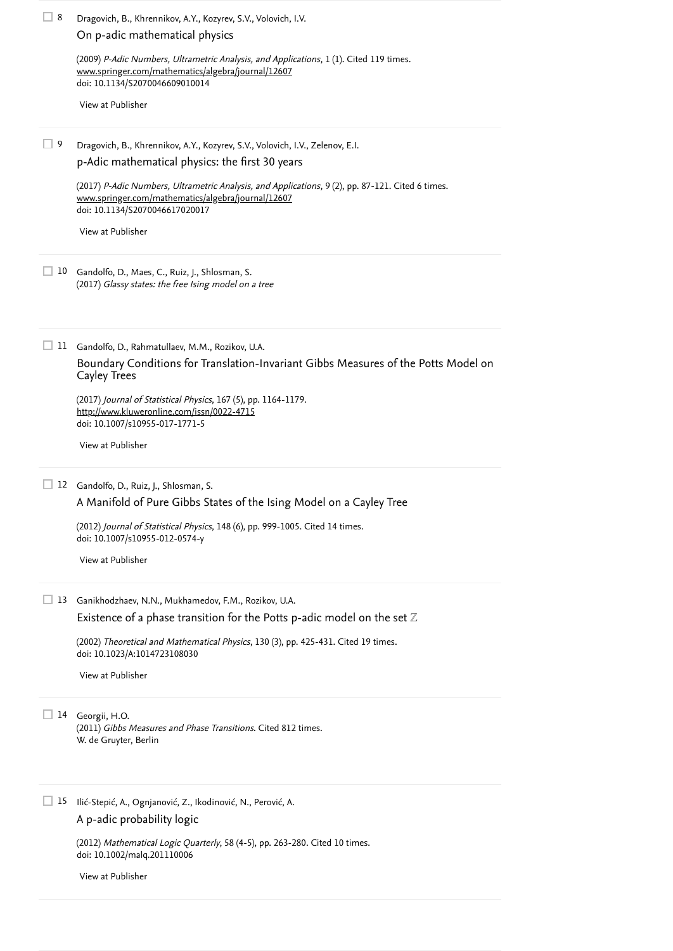Dragovich, B., Khrennikov, A.Y., Kozyrev, S.V., Volovich, I.V., Zelenov, E.I.  $\Box$  9

> (2012) *Journal of Statistical Physics*, 148 (6), pp. 999-1005. [Cited 14 times](https://www.scopus.com/search/submit/citedby.uri?eid=2-s2.0-85046738178&refeid=2-s2.0-84866538758&src=s&origin=reflist&refstat=core). doi: 10.1007/s10955-012-0574-y

Gandolfo, D., Maes, C., Ruiz, J., Shlosman, S. 10 (2017) Glassy states: the free Ising model on a tree

> (2002) *Theoretical and Mathematical Physics*, 130 (3), pp. 425-431. [Cited 19 times](https://www.scopus.com/search/submit/citedby.uri?eid=2-s2.0-85046738178&refeid=2-s2.0-0141634205&src=s&origin=reflist&refstat=core). doi: 10.1023/A:1014723108030

 $(2011)$  *Gibbs Measures and Phase Transitions*. [Cited 812 times](https://www.scopus.com/search/submit/citedby.uri?eid=2-s2.0-85046738178&refeid=2-s2.0-0003723490&src=s&origin=reflist&refstat=dummy). W. de Gruyter, Berlin

(2012) *Mathematical Logic Quarterly*, 58 (4-5), pp. 263-280. [Cited 10 times](https://www.scopus.com/search/submit/citedby.uri?eid=2-s2.0-85046738178&refeid=2-s2.0-84864745125&src=s&origin=reflist&refstat=core). doi: 10.1002/malq.201110006

Dragovich, B., Khrennikov, A.Y., Kozyrev, S.V., Volovich, I.V.  $\Box$  8 [On p-adic mathematical physics](https://www.scopus.com/record/display.uri?eid=2-s2.0-84928885972&origin=reflist&sort=plf-f&src=s&st1=Periodic+p-adic+Gibbs+Measures+of+q-State+Potts+Model+on+Cayley+Trees+I%3a+The+Chaos+Implies+the+Vastness+of+the+Set+of+p-Adic+Gibbs+Measures&st2=&sid=e85740a43aca01317c0d39e3d999d654&sot=b&sdt=b&sl=154&s=TITLE-ABS-KEY%28Periodic+p-adic+Gibbs+Measures+of+q-State+Potts+Model+on+Cayley+Trees+I%3a+The+Chaos+Implies+the+Vastness+of+the+Set+of+p-Adic+Gibbs+Measures%29&recordRank=)

> (2009) *P-Adic Numbers, Ultrametric Analysis, and Applications*, 1 (1). [Cited 119 times](https://www.scopus.com/search/submit/citedby.uri?eid=2-s2.0-85046738178&refeid=2-s2.0-84928885972&src=s&origin=reflist&refstat=core). doi: 10.1134/S2070046609010014 [www.springer.com/mathematics/algebra/journal/12607](https://www.scopus.com/record/www.springer.com/mathematics/algebra/journal/12607)

(2017) *P-Adic Numbers, Ultrametric Analysis, and Applications*, 9 (2), pp. 87-121. [Cited 6 times](https://www.scopus.com/search/submit/citedby.uri?eid=2-s2.0-85046738178&refeid=2-s2.0-85019362287&src=s&origin=reflist&refstat=core). doi: 10.1134/S2070046617020017 [www.springer.com/mathematics/algebra/journal/12607](https://www.scopus.com/record/www.springer.com/mathematics/algebra/journal/12607)

15 Ilić-Stepić, A., Ognjanović, Z., Ikodinović, N., Perović, A. [A p-adic probability logic](https://www.scopus.com/record/display.uri?eid=2-s2.0-84864745125&origin=reflist&sort=plf-f&src=s&st1=Periodic+p-adic+Gibbs+Measures+of+q-State+Potts+Model+on+Cayley+Trees+I%3a+The+Chaos+Implies+the+Vastness+of+the+Set+of+p-Adic+Gibbs+Measures&st2=&sid=e85740a43aca01317c0d39e3d999d654&sot=b&sdt=b&sl=154&s=TITLE-ABS-KEY%28Periodic+p-adic+Gibbs+Measures+of+q-State+Potts+Model+on+Cayley+Trees+I%3a+The+Chaos+Implies+the+Vastness+of+the+Set+of+p-Adic+Gibbs+Measures%29&recordRank=)

Gandolfo, D., Rahmatullaev, M.M., Rozikov, U.A. 11

(2017) Journal of Statistical Physics, 167 (5), pp. 1164-1179. doi: 10.1007/s10955-017-1771-5 <http://www.kluweronline.com/issn/0022-4715>

Gandolfo, D., Ruiz, J., Shlosman, S. 12

Ganikhodzhaev, N.N., Mukhamedov, F.M., Rozikov, U.A. 13

[Existence of a phase transition for the Potts p-adic model on the set](https://www.scopus.com/record/display.uri?eid=2-s2.0-0141634205&origin=reflist&sort=plf-f&src=s&st1=Periodic+p-adic+Gibbs+Measures+of+q-State+Potts+Model+on+Cayley+Trees+I%3a+The+Chaos+Implies+the+Vastness+of+the+Set+of+p-Adic+Gibbs+Measures&st2=&sid=e85740a43aca01317c0d39e3d999d654&sot=b&sdt=b&sl=154&s=TITLE-ABS-KEY%28Periodic+p-adic+Gibbs+Measures+of+q-State+Potts+Model+on+Cayley+Trees+I%3a+The+Chaos+Implies+the+Vastness+of+the+Set+of+p-Adic+Gibbs+Measures%29&recordRank=)  $\mathbb Z$ 

[View at Publisher](https://www.scopus.com/redirect/linking.uri?targetURL=https%3a%2f%2fdoi.org%2f10.1134%2fS2070046609010014&locationID=3&categoryID=4&eid=2-s2.0-84928885972&issn=20700474&linkType=ViewAtPublisher&year=2009&origin=reflist&dig=ddffdc1969d4ed43d0080de76ad223b6&recordRank=)

[p-Adic mathematical physics: the first 30 years](https://www.scopus.com/record/display.uri?eid=2-s2.0-85019362287&origin=reflist&sort=plf-f&src=s&st1=Periodic+p-adic+Gibbs+Measures+of+q-State+Potts+Model+on+Cayley+Trees+I%3a+The+Chaos+Implies+the+Vastness+of+the+Set+of+p-Adic+Gibbs+Measures&st2=&sid=e85740a43aca01317c0d39e3d999d654&sot=b&sdt=b&sl=154&s=TITLE-ABS-KEY%28Periodic+p-adic+Gibbs+Measures+of+q-State+Potts+Model+on+Cayley+Trees+I%3a+The+Chaos+Implies+the+Vastness+of+the+Set+of+p-Adic+Gibbs+Measures%29&recordRank=)

[View at Publisher](https://www.scopus.com/redirect/linking.uri?targetURL=https%3a%2f%2fdoi.org%2f10.1134%2fS2070046617020017&locationID=3&categoryID=4&eid=2-s2.0-85019362287&issn=20700474&linkType=ViewAtPublisher&year=2017&origin=reflist&dig=04056ff4060fa669af1053b2c8229b49&recordRank=)

[Boundary Conditions for Translation-Invariant Gibbs Measures of the Potts Model on](https://www.scopus.com/record/display.uri?eid=2-s2.0-85016090588&origin=reflist&sort=plf-f&src=s&st1=Periodic+p-adic+Gibbs+Measures+of+q-State+Potts+Model+on+Cayley+Trees+I%3a+The+Chaos+Implies+the+Vastness+of+the+Set+of+p-Adic+Gibbs+Measures&st2=&sid=e85740a43aca01317c0d39e3d999d654&sot=b&sdt=b&sl=154&s=TITLE-ABS-KEY%28Periodic+p-adic+Gibbs+Measures+of+q-State+Potts+Model+on+Cayley+Trees+I%3a+The+Chaos+Implies+the+Vastness+of+the+Set+of+p-Adic+Gibbs+Measures%29&recordRank=) Cayley Trees

[View at Publisher](https://www.scopus.com/redirect/linking.uri?targetURL=https%3a%2f%2fdoi.org%2f10.1007%2fs10955-017-1771-5&locationID=3&categoryID=4&eid=2-s2.0-85016090588&issn=00224715&linkType=ViewAtPublisher&year=2017&origin=reflist&dig=eb70e41c1933be96dadf885244f6f3ff&recordRank=)

[A Manifold of Pure Gibbs States of the Ising Model on a Cayley Tree](https://www.scopus.com/record/display.uri?eid=2-s2.0-84866538758&origin=reflist&sort=plf-f&src=s&st1=Periodic+p-adic+Gibbs+Measures+of+q-State+Potts+Model+on+Cayley+Trees+I%3a+The+Chaos+Implies+the+Vastness+of+the+Set+of+p-Adic+Gibbs+Measures&st2=&sid=e85740a43aca01317c0d39e3d999d654&sot=b&sdt=b&sl=154&s=TITLE-ABS-KEY%28Periodic+p-adic+Gibbs+Measures+of+q-State+Potts+Model+on+Cayley+Trees+I%3a+The+Chaos+Implies+the+Vastness+of+the+Set+of+p-Adic+Gibbs+Measures%29&recordRank=)

[View at Publisher](https://www.scopus.com/redirect/linking.uri?targetURL=https%3a%2f%2fdoi.org%2f10.1007%2fs10955-012-0574-y&locationID=3&categoryID=4&eid=2-s2.0-84866538758&issn=00224715&linkType=ViewAtPublisher&year=2012&origin=reflist&dig=afae1af092c635edab5d17781cacb5ce&recordRank=)

[View at Publisher](https://www.scopus.com/redirect/linking.uri?targetURL=https%3a%2f%2fdoi.org%2f10.1023%2fA%3a1014723108030&locationID=3&categoryID=4&eid=2-s2.0-0141634205&issn=00405779&linkType=ViewAtPublisher&year=2002&origin=reflist&dig=c58d61e5d4f7ec0e0556502f12faba6b&recordRank=)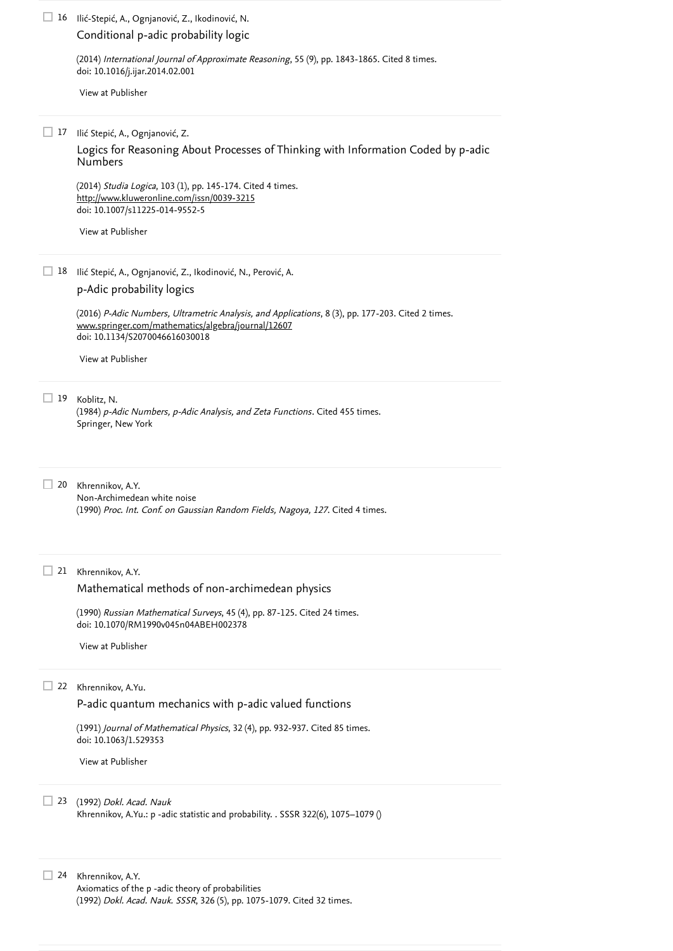(2014) *International Journal of Approximate Reasoning*, 55 (9), pp. 1843-1865. [Cited 8 times](https://www.scopus.com/search/submit/citedby.uri?eid=2-s2.0-85046738178&refeid=2-s2.0-84908357437&src=s&origin=reflist&refstat=core). doi: 10.1016/j.ijar.2014.02.001

(1984)  $p$ -Adic Numbers,  $p$ -Adic Analysis, and Zeta Functions. [Cited 455 times](https://www.scopus.com/search/submit/citedby.uri?eid=2-s2.0-85046738178&refeid=2-s2.0-0003535574&src=s&origin=reflist&refstat=dummy). Springer, New York

20 Khrennikov, A.Y.

Non-Archimedean white noise (1990) *Proc. Int. Conf. on Gaussian Random Fields, Nagoya, 127*. [Cited 4 times](https://www.scopus.com/search/submit/citedby.uri?eid=2-s2.0-85046738178&refeid=2-s2.0-0003272044&src=s&origin=reflist&refstat=dummy).

21 Khrennikov, A.Y.

(1990) *Russian Mathematical Surveys*, 45 (4), pp. 87-125. [Cited 24 times](https://www.scopus.com/search/submit/citedby.uri?eid=2-s2.0-85046738178&refeid=2-s2.0-0002142191&src=s&origin=reflist&refstat=core). doi: 10.1070/RM1990v045n04ABEH002378

(1991) *Journal of Mathematical Physics*, 32 (4), pp. 932-937. [Cited 85 times](https://www.scopus.com/search/submit/citedby.uri?eid=2-s2.0-85046738178&refeid=2-s2.0-0000220472&src=s&origin=reflist&refstat=core). doi: 10.1063/1.529353

23 (1992) Dokl. Acad. Nauk Khrennikov, A.Yu.: p -adic statistic and probability. . SSSR 322(6), 1075–1079 ()

24 Khrennikov, A.Y. Axiomatics of the p -adic theory of probabilities (1992) *Dokl. Acad. Nauk. SSSR*, 326 (5), pp. 1075-1079. [Cited 32 times](https://www.scopus.com/search/submit/citedby.uri?eid=2-s2.0-85046738178&refeid=2-s2.0-0000037520&src=s&origin=reflist&refstat=dummy).

(2014) *Studia Logica*, 103 (1), pp. 145-174. [Cited 4 times](https://www.scopus.com/search/submit/citedby.uri?eid=2-s2.0-85046738178&refeid=2-s2.0-84939882408&src=s&origin=reflist&refstat=core). doi: 10.1007/s11225-014-9552-5 <http://www.kluweronline.com/issn/0039-3215>

18 Ilić Stepić, A., Ognjanović, Z., Ikodinović, N., Perović, A. [p-Adic probability logics](https://www.scopus.com/record/display.uri?eid=2-s2.0-84981722685&origin=reflist&sort=plf-f&src=s&st1=Periodic+p-adic+Gibbs+Measures+of+q-State+Potts+Model+on+Cayley+Trees+I%3a+The+Chaos+Implies+the+Vastness+of+the+Set+of+p-Adic+Gibbs+Measures&st2=&sid=e85740a43aca01317c0d39e3d999d654&sot=b&sdt=b&sl=154&s=TITLE-ABS-KEY%28Periodic+p-adic+Gibbs+Measures+of+q-State+Potts+Model+on+Cayley+Trees+I%3a+The+Chaos+Implies+the+Vastness+of+the+Set+of+p-Adic+Gibbs+Measures%29&recordRank=)

> (2016) *P-Adic Numbers, Ultrametric Analysis, and Applications*, 8 (3), pp. 177-203. [Cited 2 times](https://www.scopus.com/search/submit/citedby.uri?eid=2-s2.0-85046738178&refeid=2-s2.0-84981722685&src=s&origin=reflist&refstat=core). doi: 10.1134/S2070046616030018 [www.springer.com/mathematics/algebra/journal/12607](https://www.scopus.com/record/www.springer.com/mathematics/algebra/journal/12607)

16 Ilić-Stepić, A., Ognjanović, Z., Ikodinović, N.

[Conditional p-adic probability logic](https://www.scopus.com/record/display.uri?eid=2-s2.0-84908357437&origin=reflist&sort=plf-f&src=s&st1=Periodic+p-adic+Gibbs+Measures+of+q-State+Potts+Model+on+Cayley+Trees+I%3a+The+Chaos+Implies+the+Vastness+of+the+Set+of+p-Adic+Gibbs+Measures&st2=&sid=e85740a43aca01317c0d39e3d999d654&sot=b&sdt=b&sl=154&s=TITLE-ABS-KEY%28Periodic+p-adic+Gibbs+Measures+of+q-State+Potts+Model+on+Cayley+Trees+I%3a+The+Chaos+Implies+the+Vastness+of+the+Set+of+p-Adic+Gibbs+Measures%29&recordRank=)

[View at Publisher](https://www.scopus.com/redirect/linking.uri?targetURL=https%3a%2f%2fdoi.org%2f10.1016%2fj.ijar.2014.02.001&locationID=3&categoryID=4&eid=2-s2.0-84908357437&issn=0888613X&linkType=ViewAtPublisher&year=2014&origin=reflist&dig=46c7a9599f0c50fbb555e388782b316a&recordRank=)

17 Ilić Stepić, A., Ognjanović, Z.

[Logics for Reasoning About Processes of Thinking with Information Coded by p-adic](https://www.scopus.com/record/display.uri?eid=2-s2.0-84939882408&origin=reflist&sort=plf-f&src=s&st1=Periodic+p-adic+Gibbs+Measures+of+q-State+Potts+Model+on+Cayley+Trees+I%3a+The+Chaos+Implies+the+Vastness+of+the+Set+of+p-Adic+Gibbs+Measures&st2=&sid=e85740a43aca01317c0d39e3d999d654&sot=b&sdt=b&sl=154&s=TITLE-ABS-KEY%28Periodic+p-adic+Gibbs+Measures+of+q-State+Potts+Model+on+Cayley+Trees+I%3a+The+Chaos+Implies+the+Vastness+of+the+Set+of+p-Adic+Gibbs+Measures%29&recordRank=) Numbers

[View at Publisher](https://www.scopus.com/redirect/linking.uri?targetURL=https%3a%2f%2fdoi.org%2f10.1007%2fs11225-014-9552-5&locationID=3&categoryID=4&eid=2-s2.0-84939882408&issn=15728730&linkType=ViewAtPublisher&year=2014&origin=reflist&dig=b6d35df84b88b1b3cd0714051736b521&recordRank=)

[View at Publisher](https://www.scopus.com/redirect/linking.uri?targetURL=https%3a%2f%2fdoi.org%2f10.1134%2fS2070046616030018&locationID=3&categoryID=4&eid=2-s2.0-84981722685&issn=20700474&linkType=ViewAtPublisher&year=2016&origin=reflist&dig=d3e39f92e72146a0bf25417d6e9f4186&recordRank=)

19 Koblitz, N.

[Mathematical methods of non-archimedean physics](https://www.scopus.com/record/display.uri?eid=2-s2.0-0002142191&origin=reflist&sort=plf-f&src=s&st1=Periodic+p-adic+Gibbs+Measures+of+q-State+Potts+Model+on+Cayley+Trees+I%3a+The+Chaos+Implies+the+Vastness+of+the+Set+of+p-Adic+Gibbs+Measures&st2=&sid=e85740a43aca01317c0d39e3d999d654&sot=b&sdt=b&sl=154&s=TITLE-ABS-KEY%28Periodic+p-adic+Gibbs+Measures+of+q-State+Potts+Model+on+Cayley+Trees+I%3a+The+Chaos+Implies+the+Vastness+of+the+Set+of+p-Adic+Gibbs+Measures%29&recordRank=)

[View at Publisher](https://www.scopus.com/redirect/linking.uri?targetURL=https%3a%2f%2fdoi.org%2f10.1070%2fRM1990v045n04ABEH002378&locationID=3&categoryID=4&eid=2-s2.0-0002142191&issn=00360279&linkType=ViewAtPublisher&year=1990&origin=reflist&dig=25a0cf25ae7de6033ee1a43c84c894cd&recordRank=)

22 Khrennikov, A.Yu.

[P-adic quantum mechanics with p-adic valued functions](https://www.scopus.com/record/display.uri?eid=2-s2.0-0000220472&origin=reflist&sort=plf-f&src=s&st1=Periodic+p-adic+Gibbs+Measures+of+q-State+Potts+Model+on+Cayley+Trees+I%3a+The+Chaos+Implies+the+Vastness+of+the+Set+of+p-Adic+Gibbs+Measures&st2=&sid=e85740a43aca01317c0d39e3d999d654&sot=b&sdt=b&sl=154&s=TITLE-ABS-KEY%28Periodic+p-adic+Gibbs+Measures+of+q-State+Potts+Model+on+Cayley+Trees+I%3a+The+Chaos+Implies+the+Vastness+of+the+Set+of+p-Adic+Gibbs+Measures%29&recordRank=)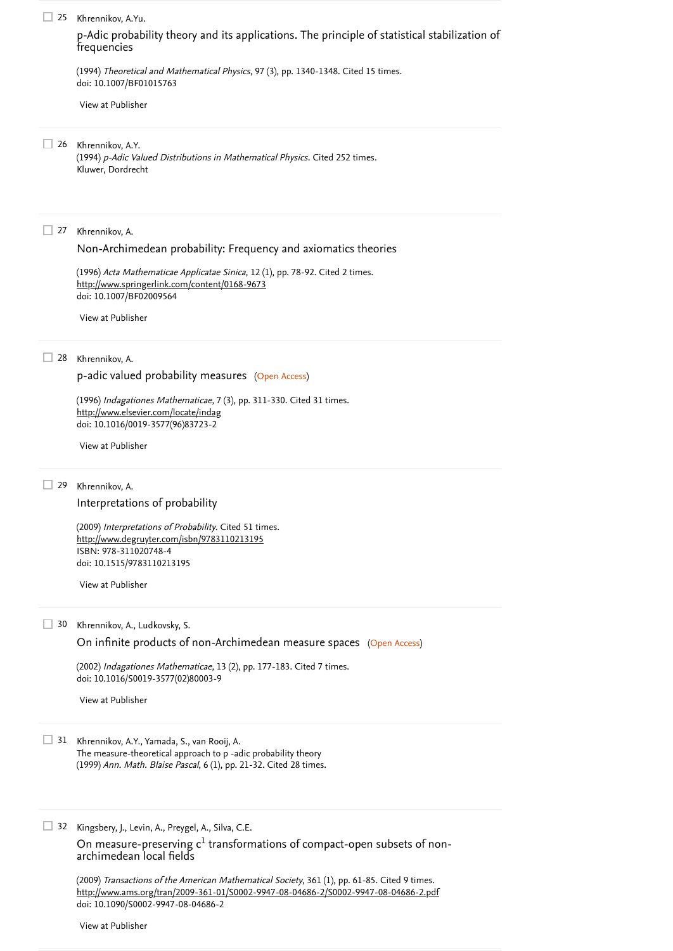(1994) *Theoretical and Mathematical Physics*, 97 (3), pp. 1340-1348. [Cited 15 times](https://www.scopus.com/search/submit/citedby.uri?eid=2-s2.0-85046738178&refeid=2-s2.0-0010041958&src=s&origin=reflist&refstat=core). doi: 10.1007/BF01015763

(1994) *p-Adic Valued Distributions in Mathematical Physics*. [Cited 252 times](https://www.scopus.com/search/submit/citedby.uri?eid=2-s2.0-85046738178&refeid=2-s2.0-0003957231&src=s&origin=reflist&refstat=dummy). Kluwer, Dordrecht

27 Khrennikov, A.

Khrennikov, A.  $\Box$  29

> (2002) *Indagationes Mathematicae*, 13 (2), pp. 177-183. [Cited 7 times](https://www.scopus.com/search/submit/citedby.uri?eid=2-s2.0-85046738178&refeid=2-s2.0-0036983458&src=s&origin=reflist&refstat=core). doi: 10.1016/S0019-3577(02)80003-9

Khrennikov, A.Y., Yamada, S., van Rooij, A. 31 The measure-theoretical approach to p -adic probability theory (1999) *Ann. Math. Blaise Pascal*, 6 (1), pp. 21-32. [Cited 28 times](https://www.scopus.com/search/submit/citedby.uri?eid=2-s2.0-85046738178&refeid=2-s2.0-0013146068&src=s&origin=reflist&refstat=dummy).

32 Kingsbery, J., Levin, A., Preygel, A., Silva, C.E.

(1996) *Acta Mathematicae Applicatae Sinica*, 12 (1), pp. 78-92. [Cited 2 times](https://www.scopus.com/search/submit/citedby.uri?eid=2-s2.0-85046738178&refeid=2-s2.0-53349152454&src=s&origin=reflist&refstat=core). doi: 10.1007/BF02009564 <http://www.springerlink.com/content/0168-9673>

(1996) *Indagationes Mathematicae*, 7 (3), pp. 311-330. [Cited 31 times](https://www.scopus.com/search/submit/citedby.uri?eid=2-s2.0-85046738178&refeid=2-s2.0-0030607076&src=s&origin=reflist&refstat=core). doi: 10.1016/0019-3577(96)83723-2 <http://www.elsevier.com/locate/indag>

(2009) *Interpretations of Probability*. [Cited 51 times](https://www.scopus.com/search/submit/citedby.uri?eid=2-s2.0-85046738178&refeid=2-s2.0-84881776308&src=s&origin=reflist&refstat=core). ISBN: 978-311020748-4 doi: 10.1515/9783110213195 <http://www.degruyter.com/isbn/9783110213195>

On measure-preserving  ${\sf c}^1$  transformations of compact-open subsets of nonarchimedean local fields

(2009) *Transactions of the American Mathematical Society*, 361 (1), pp. 61-85. [Cited 9 times](https://www.scopus.com/search/submit/citedby.uri?eid=2-s2.0-85046738178&refeid=2-s2.0-77950474301&src=s&origin=reflist&refstat=core). doi: 10.1090/S0002-9947-08-04686-2 <http://www.ams.org/tran/2009-361-01/S0002-9947-08-04686-2/S0002-9947-08-04686-2.pdf>

#### 25 Khrennikov, A.Yu.

[p-Adic probability theory and its applications. The principle of statistical stabilization of](https://www.scopus.com/record/display.uri?eid=2-s2.0-0010041958&origin=reflist&sort=plf-f&src=s&st1=Periodic+p-adic+Gibbs+Measures+of+q-State+Potts+Model+on+Cayley+Trees+I%3a+The+Chaos+Implies+the+Vastness+of+the+Set+of+p-Adic+Gibbs+Measures&st2=&sid=e85740a43aca01317c0d39e3d999d654&sot=b&sdt=b&sl=154&s=TITLE-ABS-KEY%28Periodic+p-adic+Gibbs+Measures+of+q-State+Potts+Model+on+Cayley+Trees+I%3a+The+Chaos+Implies+the+Vastness+of+the+Set+of+p-Adic+Gibbs+Measures%29&recordRank=) frequencies

[View at Publisher](https://www.scopus.com/redirect/linking.uri?targetURL=https%3a%2f%2fdoi.org%2f10.1007%2fBF01015763&locationID=3&categoryID=4&eid=2-s2.0-0010041958&issn=00405779&linkType=ViewAtPublisher&year=1994&origin=reflist&dig=3a688e3187eda23b90edd161702e65d1&recordRank=)

26 Khrennikov, A.Y.

[Non-Archimedean probability: Frequency and axiomatics theories](https://www.scopus.com/record/display.uri?eid=2-s2.0-53349152454&origin=reflist&sort=plf-f&src=s&st1=Periodic+p-adic+Gibbs+Measures+of+q-State+Potts+Model+on+Cayley+Trees+I%3a+The+Chaos+Implies+the+Vastness+of+the+Set+of+p-Adic+Gibbs+Measures&st2=&sid=e85740a43aca01317c0d39e3d999d654&sot=b&sdt=b&sl=154&s=TITLE-ABS-KEY%28Periodic+p-adic+Gibbs+Measures+of+q-State+Potts+Model+on+Cayley+Trees+I%3a+The+Chaos+Implies+the+Vastness+of+the+Set+of+p-Adic+Gibbs+Measures%29&recordRank=)

[View at Publisher](https://www.scopus.com/redirect/linking.uri?targetURL=https%3a%2f%2fdoi.org%2f10.1007%2fBF02009564&locationID=3&categoryID=4&eid=2-s2.0-53349152454&issn=16183932&linkType=ViewAtPublisher&year=1996&origin=reflist&dig=b64944ddb1ecec5f52833eb1d7d22e48&recordRank=)

28 Khrennikov, A.

[p-adic valued probability measures](https://www.scopus.com/record/display.uri?eid=2-s2.0-0030607076&origin=reflist&sort=plf-f&src=s&st1=Periodic+p-adic+Gibbs+Measures+of+q-State+Potts+Model+on+Cayley+Trees+I%3a+The+Chaos+Implies+the+Vastness+of+the+Set+of+p-Adic+Gibbs+Measures&st2=&sid=e85740a43aca01317c0d39e3d999d654&sot=b&sdt=b&sl=154&s=TITLE-ABS-KEY%28Periodic+p-adic+Gibbs+Measures+of+q-State+Potts+Model+on+Cayley+Trees+I%3a+The+Chaos+Implies+the+Vastness+of+the+Set+of+p-Adic+Gibbs+Measures%29&recordRank=) (Open Access)

[View at Publisher](https://www.scopus.com/redirect/linking.uri?targetURL=https%3a%2f%2fdoi.org%2f10.1016%2f0019-3577%2896%2983723-2&locationID=3&categoryID=4&eid=2-s2.0-0030607076&issn=00193577&linkType=ViewAtPublisher&year=1996&origin=reflist&dig=fde2553ae9c0643dfed0a7cf87aefc50&recordRank=)

[Interpretations of probability](https://www.scopus.com/record/display.uri?eid=2-s2.0-84881776308&origin=reflist&sort=plf-f&src=s&st1=Periodic+p-adic+Gibbs+Measures+of+q-State+Potts+Model+on+Cayley+Trees+I%3a+The+Chaos+Implies+the+Vastness+of+the+Set+of+p-Adic+Gibbs+Measures&st2=&sid=e85740a43aca01317c0d39e3d999d654&sot=b&sdt=b&sl=154&s=TITLE-ABS-KEY%28Periodic+p-adic+Gibbs+Measures+of+q-State+Potts+Model+on+Cayley+Trees+I%3a+The+Chaos+Implies+the+Vastness+of+the+Set+of+p-Adic+Gibbs+Measures%29&recordRank=)

[View at Publisher](https://www.scopus.com/redirect/linking.uri?targetURL=https%3a%2f%2fdoi.org%2f10.1515%2f9783110213195&locationID=3&categoryID=4&eid=2-s2.0-84881776308&issn=&linkType=ViewAtPublisher&year=2009&origin=reflist&dig=9bab3b76e35ea507294c404cc3e23c5f&recordRank=)

30 Khrennikov, A., Ludkovsky, S.

[On infinite products of non-Archimedean measure spaces](https://www.scopus.com/record/display.uri?eid=2-s2.0-0036983458&origin=reflist&sort=plf-f&src=s&st1=Periodic+p-adic+Gibbs+Measures+of+q-State+Potts+Model+on+Cayley+Trees+I%3a+The+Chaos+Implies+the+Vastness+of+the+Set+of+p-Adic+Gibbs+Measures&st2=&sid=e85740a43aca01317c0d39e3d999d654&sot=b&sdt=b&sl=154&s=TITLE-ABS-KEY%28Periodic+p-adic+Gibbs+Measures+of+q-State+Potts+Model+on+Cayley+Trees+I%3a+The+Chaos+Implies+the+Vastness+of+the+Set+of+p-Adic+Gibbs+Measures%29&recordRank=) (Open Access)

[View at Publisher](https://www.scopus.com/redirect/linking.uri?targetURL=https%3a%2f%2fdoi.org%2f10.1016%2fS0019-3577%2802%2980003-9&locationID=3&categoryID=4&eid=2-s2.0-0036983458&issn=00193577&linkType=ViewAtPublisher&year=2002&origin=reflist&dig=3b50b9bb60d40c156d88c5bff7fa1c4a&recordRank=)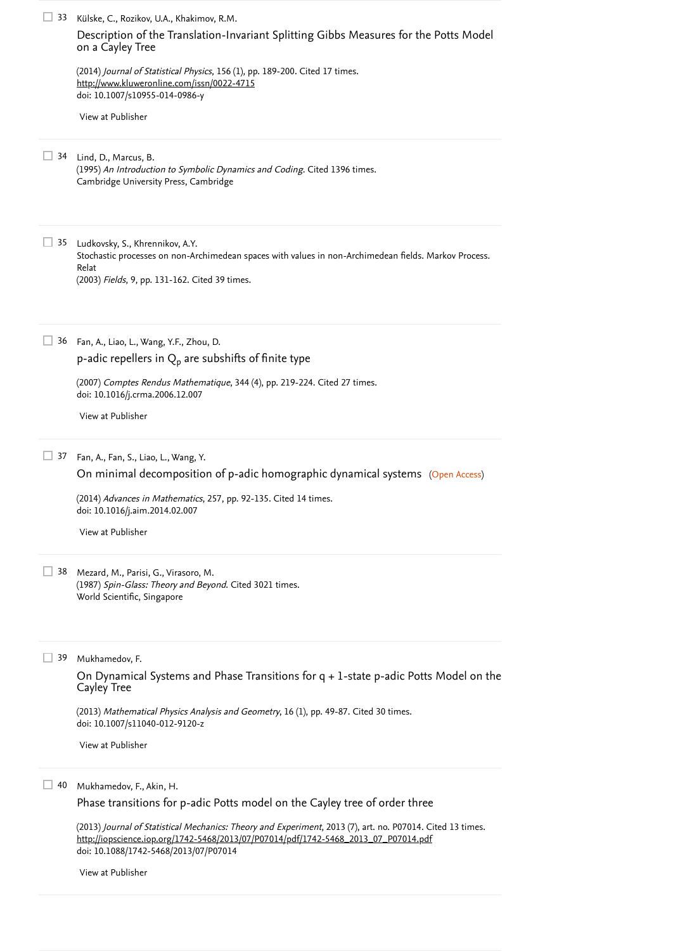(1995) *An Introduction to Symbolic Dynamics and Coding*. [Cited 1396 times](https://www.scopus.com/search/submit/citedby.uri?eid=2-s2.0-85046738178&refeid=2-s2.0-0004111328&src=s&origin=reflist&refstat=dummy). Cambridge University Press, Cambridge

Ludkovsky, S., Khrennikov, A.Y. 35 Stochastic processes on non-Archimedean spaces with values in non-Archimedean fields. Markov Process. Relat (2003) *Fields*, 9, pp. 131-162. [Cited 39 times](https://www.scopus.com/search/submit/citedby.uri?eid=2-s2.0-85046738178&refeid=2-s2.0-1842443279&src=s&origin=reflist&refstat=dummy).

(2007) *Comptes Rendus Mathematique*, 344 (4), pp. 219-224. [Cited 27 times](https://www.scopus.com/search/submit/citedby.uri?eid=2-s2.0-85046738178&refeid=2-s2.0-33846826813&src=s&origin=reflist&refstat=core). doi: 10.1016/j.crma.2006.12.007

(2014) *Advances in Mathematics*, 257, pp. 92-135. [Cited 14 times](https://www.scopus.com/search/submit/citedby.uri?eid=2-s2.0-85046738178&refeid=2-s2.0-84897710658&src=s&origin=reflist&refstat=core). doi: 10.1016/j.aim.2014.02.007

(2014) *Journal of Statistical Physics*, 156 (1), pp. 189-200. [Cited 17 times](https://www.scopus.com/search/submit/citedby.uri?eid=2-s2.0-85046738178&refeid=2-s2.0-84901982834&src=s&origin=reflist&refstat=core). doi: 10.1007/s10955-014-0986-y <http://www.kluweronline.com/issn/0022-4715>

Mezard, M., Parisi, G., Virasoro, M. 38 (1987) *Spin-Glass: Theory and Beyond*. [Cited 3021 times](https://www.scopus.com/search/submit/citedby.uri?eid=2-s2.0-85046738178&refeid=2-s2.0-0003571050&src=s&origin=reflist&refstat=dummy). World Scientific, Singapore

Fan, A., Liao, L., Wang, Y.F., Zhou, D. 36

p-adic repellers in  $\operatorname{Q}_\textsf{p}$  [are subshifts of finite type](https://www.scopus.com/record/display.uri?eid=2-s2.0-33846826813&origin=reflist&sort=plf-f&src=s&st1=Periodic+p-adic+Gibbs+Measures+of+q-State+Potts+Model+on+Cayley+Trees+I%3a+The+Chaos+Implies+the+Vastness+of+the+Set+of+p-Adic+Gibbs+Measures&st2=&sid=e85740a43aca01317c0d39e3d999d654&sot=b&sdt=b&sl=154&s=TITLE-ABS-KEY%28Periodic+p-adic+Gibbs+Measures+of+q-State+Potts+Model+on+Cayley+Trees+I%3a+The+Chaos+Implies+the+Vastness+of+the+Set+of+p-Adic+Gibbs+Measures%29&recordRank=)

#### doi: 10.1007/s11040-012-9120-z

(2013) *Journal of Statistical Mechanics: Theory and Experiment*, 2013 (7), art. no. P07014. [Cited 13 times](https://www.scopus.com/search/submit/citedby.uri?eid=2-s2.0-85046738178&refeid=2-s2.0-84881510057&src=s&origin=reflist&refstat=core). doi: 10.1088/1742-5468/2013/07/P07014 [http://iopscience.iop.org/1742-5468/2013/07/P07014/pdf/1742-5468\\_2013\\_07\\_P07014.pdf](http://iopscience.iop.org/1742-5468/2013/07/P07014/pdf/1742-5468_2013_07_P07014.pdf)

33 Külske, C., Rozikov, U.A., Khakimov, R.M.

[Description of the Translation-Invariant Splitting Gibbs Measures for the Potts Model](https://www.scopus.com/record/display.uri?eid=2-s2.0-84901982834&origin=reflist&sort=plf-f&src=s&st1=Periodic+p-adic+Gibbs+Measures+of+q-State+Potts+Model+on+Cayley+Trees+I%3a+The+Chaos+Implies+the+Vastness+of+the+Set+of+p-Adic+Gibbs+Measures&st2=&sid=e85740a43aca01317c0d39e3d999d654&sot=b&sdt=b&sl=154&s=TITLE-ABS-KEY%28Periodic+p-adic+Gibbs+Measures+of+q-State+Potts+Model+on+Cayley+Trees+I%3a+The+Chaos+Implies+the+Vastness+of+the+Set+of+p-Adic+Gibbs+Measures%29&recordRank=) on a Cayley Tree

Mukhamedov, F. 39

[View at Publisher](https://www.scopus.com/redirect/linking.uri?targetURL=https%3a%2f%2fdoi.org%2f10.1007%2fs10955-014-0986-y&locationID=3&categoryID=4&eid=2-s2.0-84901982834&issn=00224715&linkType=ViewAtPublisher&year=2014&origin=reflist&dig=f6a4e9d85c6cc257a2316d990ae746b5&recordRank=)

34 Lind, D., Marcus, B.

Mukhamedov, F., Akin, H. 40

[View at Publisher](https://www.scopus.com/redirect/linking.uri?targetURL=https%3a%2f%2fdoi.org%2f10.1016%2fj.crma.2006.12.007&locationID=3&categoryID=4&eid=2-s2.0-33846826813&issn=1631073X&linkType=ViewAtPublisher&year=2007&origin=reflist&dig=771990e7cd3d1137a99e36a6b047ac03&recordRank=)

37 Fan, A., Fan, S., Liao, L., Wang, Y.

[On minimal decomposition of p-adic homographic dynamical systems](https://www.scopus.com/record/display.uri?eid=2-s2.0-84897710658&origin=reflist&sort=plf-f&src=s&st1=Periodic+p-adic+Gibbs+Measures+of+q-State+Potts+Model+on+Cayley+Trees+I%3a+The+Chaos+Implies+the+Vastness+of+the+Set+of+p-Adic+Gibbs+Measures&st2=&sid=e85740a43aca01317c0d39e3d999d654&sot=b&sdt=b&sl=154&s=TITLE-ABS-KEY%28Periodic+p-adic+Gibbs+Measures+of+q-State+Potts+Model+on+Cayley+Trees+I%3a+The+Chaos+Implies+the+Vastness+of+the+Set+of+p-Adic+Gibbs+Measures%29&recordRank=) (Open Access)

[View at Publisher](https://www.scopus.com/redirect/linking.uri?targetURL=https%3a%2f%2fdoi.org%2f10.1016%2fj.aim.2014.02.007&locationID=3&categoryID=4&eid=2-s2.0-84897710658&issn=00018708&linkType=ViewAtPublisher&year=2014&origin=reflist&dig=522c4f09b3660d8e5cb39a933a2a17ce&recordRank=)

[On Dynamical Systems and Phase Transitions for q + 1-state p-adic Potts Model on the](https://www.scopus.com/record/display.uri?eid=2-s2.0-84874800268&origin=reflist&sort=plf-f&src=s&st1=Periodic+p-adic+Gibbs+Measures+of+q-State+Potts+Model+on+Cayley+Trees+I%3a+The+Chaos+Implies+the+Vastness+of+the+Set+of+p-Adic+Gibbs+Measures&st2=&sid=e85740a43aca01317c0d39e3d999d654&sot=b&sdt=b&sl=154&s=TITLE-ABS-KEY%28Periodic+p-adic+Gibbs+Measures+of+q-State+Potts+Model+on+Cayley+Trees+I%3a+The+Chaos+Implies+the+Vastness+of+the+Set+of+p-Adic+Gibbs+Measures%29&recordRank=) Cayley Tree

(2013) *Mathematical Physics Analysis and Geometry*, 16 (1), pp. 49-87. [Cited 30 times](https://www.scopus.com/search/submit/citedby.uri?eid=2-s2.0-85046738178&refeid=2-s2.0-84874800268&src=s&origin=reflist&refstat=core).

[View at Publisher](https://www.scopus.com/redirect/linking.uri?targetURL=https%3a%2f%2fdoi.org%2f10.1007%2fs11040-012-9120-z&locationID=3&categoryID=4&eid=2-s2.0-84874800268&issn=13850172&linkType=ViewAtPublisher&year=2013&origin=reflist&dig=c5afdd2f4ee39e4b47a6b8d36bfd4314&recordRank=)

[Phase transitions for p-adic Potts model on the Cayley tree of order three](https://www.scopus.com/record/display.uri?eid=2-s2.0-84881510057&origin=reflist&sort=plf-f&src=s&st1=Periodic+p-adic+Gibbs+Measures+of+q-State+Potts+Model+on+Cayley+Trees+I%3a+The+Chaos+Implies+the+Vastness+of+the+Set+of+p-Adic+Gibbs+Measures&st2=&sid=e85740a43aca01317c0d39e3d999d654&sot=b&sdt=b&sl=154&s=TITLE-ABS-KEY%28Periodic+p-adic+Gibbs+Measures+of+q-State+Potts+Model+on+Cayley+Trees+I%3a+The+Chaos+Implies+the+Vastness+of+the+Set+of+p-Adic+Gibbs+Measures%29&recordRank=)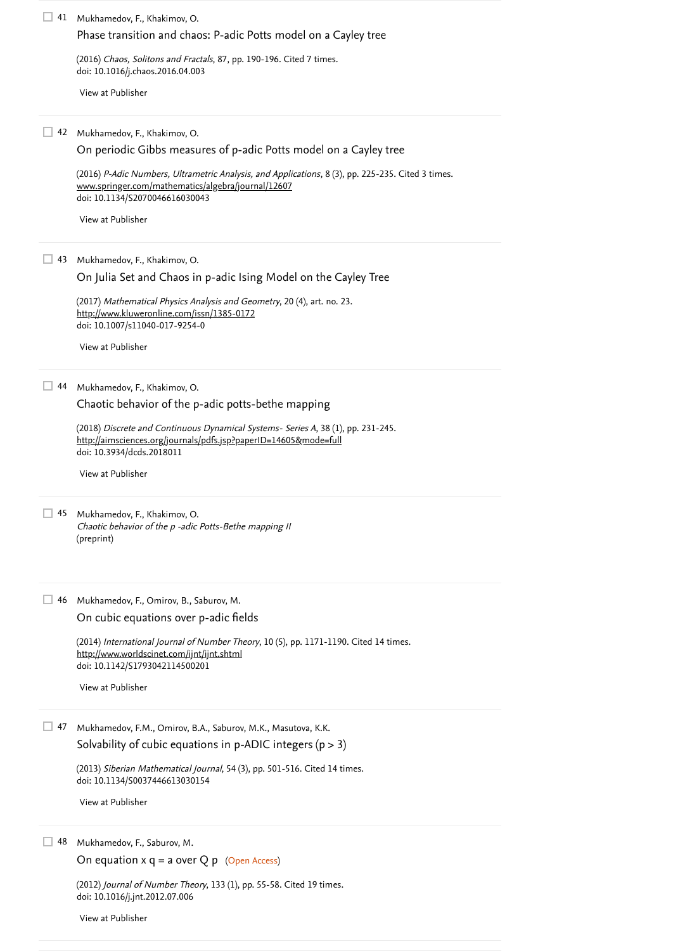(2016) *Chaos, Solitons and Fractals*, 87, pp. 190-196. [Cited 7 times](https://www.scopus.com/search/submit/citedby.uri?eid=2-s2.0-85046738178&refeid=2-s2.0-84964329531&src=s&origin=reflist&refstat=core). doi: 10.1016/j.chaos.2016.04.003

(2018) Discrete and Continuous Dynamical Systems- Series A, 38 (1), pp. 231-245. doi: 10.3934/dcds.2018011 <http://aimsciences.org/journals/pdfs.jsp?paperID=14605&mode=full>

45 Mukhamedov, F., Khakimov, O. Chaotic behavior of the p -adic Potts-Bethe mapping II (preprint)

> (2013) *Siberian Mathematical Journal*, 54 (3), pp. 501-516. [Cited 14 times](https://www.scopus.com/search/submit/citedby.uri?eid=2-s2.0-85046738178&refeid=2-s2.0-84881038496&src=s&origin=reflist&refstat=core). doi: 10.1134/S0037446613030154

(2012) *Journal of Number Theory*, 133 (1), pp. 55-58. [Cited 19 times](https://www.scopus.com/search/submit/citedby.uri?eid=2-s2.0-85046738178&refeid=2-s2.0-84867295653&src=s&origin=reflist&refstat=core). doi: 10.1016/j.jnt.2012.07.006

Mukhamedov, F., Khakimov, O. 41

Mukhamedov, F., Khakimov, O. 42

(2016) *P-Adic Numbers, Ultrametric Analysis, and Applications*, 8 (3), pp. 225-235. [Cited 3 times](https://www.scopus.com/search/submit/citedby.uri?eid=2-s2.0-85046738178&refeid=2-s2.0-84981717843&src=s&origin=reflist&refstat=core). doi: 10.1134/S2070046616030043 [www.springer.com/mathematics/algebra/journal/12607](https://www.scopus.com/record/www.springer.com/mathematics/algebra/journal/12607)

(2014) *International Journal of Number Theory*, 10 (5), pp. 1171-1190. [Cited 14 times](https://www.scopus.com/search/submit/citedby.uri?eid=2-s2.0-85046738178&refeid=2-s2.0-84904542880&src=s&origin=reflist&refstat=core). doi: 10.1142/S1793042114500201 <http://www.worldscinet.com/ijnt/ijnt.shtml>

(2017) Mathematical Physics Analysis and Geometry, 20 (4), art. no. 23. doi: 10.1007/s11040-017-9254-0 <http://www.kluweronline.com/issn/1385-0172>

[Phase transition and chaos: P-adic Potts model on a Cayley tree](https://www.scopus.com/record/display.uri?eid=2-s2.0-84964329531&origin=reflist&sort=plf-f&src=s&st1=Periodic+p-adic+Gibbs+Measures+of+q-State+Potts+Model+on+Cayley+Trees+I%3a+The+Chaos+Implies+the+Vastness+of+the+Set+of+p-Adic+Gibbs+Measures&st2=&sid=e85740a43aca01317c0d39e3d999d654&sot=b&sdt=b&sl=154&s=TITLE-ABS-KEY%28Periodic+p-adic+Gibbs+Measures+of+q-State+Potts+Model+on+Cayley+Trees+I%3a+The+Chaos+Implies+the+Vastness+of+the+Set+of+p-Adic+Gibbs+Measures%29&recordRank=)

Mukhamedov, F., Omirov, B., Saburov, M. 46

[View at Publisher](https://www.scopus.com/redirect/linking.uri?targetURL=https%3a%2f%2fdoi.org%2f10.1016%2fj.chaos.2016.04.003&locationID=3&categoryID=4&eid=2-s2.0-84964329531&issn=09600779&linkType=ViewAtPublisher&year=2016&origin=reflist&dig=6f410adf9945e70a0faf6d40db6d975b&recordRank=)

On periodic Gibbs measures of [p-adic Potts model on a Cayley tree](https://www.scopus.com/record/display.uri?eid=2-s2.0-84981717843&origin=reflist&sort=plf-f&src=s&st1=Periodic+p-adic+Gibbs+Measures+of+q-State+Potts+Model+on+Cayley+Trees+I%3a+The+Chaos+Implies+the+Vastness+of+the+Set+of+p-Adic+Gibbs+Measures&st2=&sid=e85740a43aca01317c0d39e3d999d654&sot=b&sdt=b&sl=154&s=TITLE-ABS-KEY%28Periodic+p-adic+Gibbs+Measures+of+q-State+Potts+Model+on+Cayley+Trees+I%3a+The+Chaos+Implies+the+Vastness+of+the+Set+of+p-Adic+Gibbs+Measures%29&recordRank=)

Mukhamedov, F.M., Omirov, B.A., Saburov, M.K., Masutova, K.K. 47

Solvability of cubic equations in p-ADIC integers  $(p > 3)$ 

[View at Publisher](https://www.scopus.com/redirect/linking.uri?targetURL=https%3a%2f%2fdoi.org%2f10.1134%2fS2070046616030043&locationID=3&categoryID=4&eid=2-s2.0-84981717843&issn=20700474&linkType=ViewAtPublisher&year=2016&origin=reflist&dig=f9367389be60e05f56dc89d09c8fb6b9&recordRank=)

43 Mukhamedov, F., Khakimov, O.

[On Julia Set and Chaos in p-adic Ising Model on the Cayley Tree](https://www.scopus.com/record/display.uri?eid=2-s2.0-85031122918&origin=reflist&sort=plf-f&src=s&st1=Periodic+p-adic+Gibbs+Measures+of+q-State+Potts+Model+on+Cayley+Trees+I%3a+The+Chaos+Implies+the+Vastness+of+the+Set+of+p-Adic+Gibbs+Measures&st2=&sid=e85740a43aca01317c0d39e3d999d654&sot=b&sdt=b&sl=154&s=TITLE-ABS-KEY%28Periodic+p-adic+Gibbs+Measures+of+q-State+Potts+Model+on+Cayley+Trees+I%3a+The+Chaos+Implies+the+Vastness+of+the+Set+of+p-Adic+Gibbs+Measures%29&recordRank=)

[View at Publisher](https://www.scopus.com/redirect/linking.uri?targetURL=https%3a%2f%2fdoi.org%2f10.1007%2fs11040-017-9254-0&locationID=3&categoryID=4&eid=2-s2.0-85031122918&issn=15729656&linkType=ViewAtPublisher&year=2017&origin=reflist&dig=d8fca39881102e870968df766b371670&recordRank=)

44 Mukhamedov, F., Khakimov, O.

[Chaotic behavior of the p-adic potts-bethe mapping](https://www.scopus.com/record/display.uri?eid=2-s2.0-85033793675&origin=reflist&sort=plf-f&src=s&st1=Periodic+p-adic+Gibbs+Measures+of+q-State+Potts+Model+on+Cayley+Trees+I%3a+The+Chaos+Implies+the+Vastness+of+the+Set+of+p-Adic+Gibbs+Measures&st2=&sid=e85740a43aca01317c0d39e3d999d654&sot=b&sdt=b&sl=154&s=TITLE-ABS-KEY%28Periodic+p-adic+Gibbs+Measures+of+q-State+Potts+Model+on+Cayley+Trees+I%3a+The+Chaos+Implies+the+Vastness+of+the+Set+of+p-Adic+Gibbs+Measures%29&recordRank=)

[View at Publisher](https://www.scopus.com/redirect/linking.uri?targetURL=https%3a%2f%2fdoi.org%2f10.3934%2fdcds.2018011&locationID=3&categoryID=4&eid=2-s2.0-85033793675&issn=15535231&linkType=ViewAtPublisher&year=2018&origin=reflist&dig=efa72f336ecb06fe3e45243aab690e8b&recordRank=)

[On cubic equations over p-adic fields](https://www.scopus.com/record/display.uri?eid=2-s2.0-84904542880&origin=reflist&sort=plf-f&src=s&st1=Periodic+p-adic+Gibbs+Measures+of+q-State+Potts+Model+on+Cayley+Trees+I%3a+The+Chaos+Implies+the+Vastness+of+the+Set+of+p-Adic+Gibbs+Measures&st2=&sid=e85740a43aca01317c0d39e3d999d654&sot=b&sdt=b&sl=154&s=TITLE-ABS-KEY%28Periodic+p-adic+Gibbs+Measures+of+q-State+Potts+Model+on+Cayley+Trees+I%3a+The+Chaos+Implies+the+Vastness+of+the+Set+of+p-Adic+Gibbs+Measures%29&recordRank=)

[View at Publisher](https://www.scopus.com/redirect/linking.uri?targetURL=https%3a%2f%2fdoi.org%2f10.1142%2fS1793042114500201&locationID=3&categoryID=4&eid=2-s2.0-84904542880&issn=17930421&linkType=ViewAtPublisher&year=2014&origin=reflist&dig=297bc2874e8d0c42bc032dd44ddbe6ed&recordRank=)

[View at Publisher](https://www.scopus.com/redirect/linking.uri?targetURL=https%3a%2f%2fdoi.org%2f10.1134%2fS0037446613030154&locationID=3&categoryID=4&eid=2-s2.0-84881038496&issn=00374466&linkType=ViewAtPublisher&year=2013&origin=reflist&dig=fc036e490ef708b8e6fe776da02fffe5&recordRank=)

48 Mukhamedov, F., Saburov, M.

```
On equation x q = a over Q p (Open Access)
```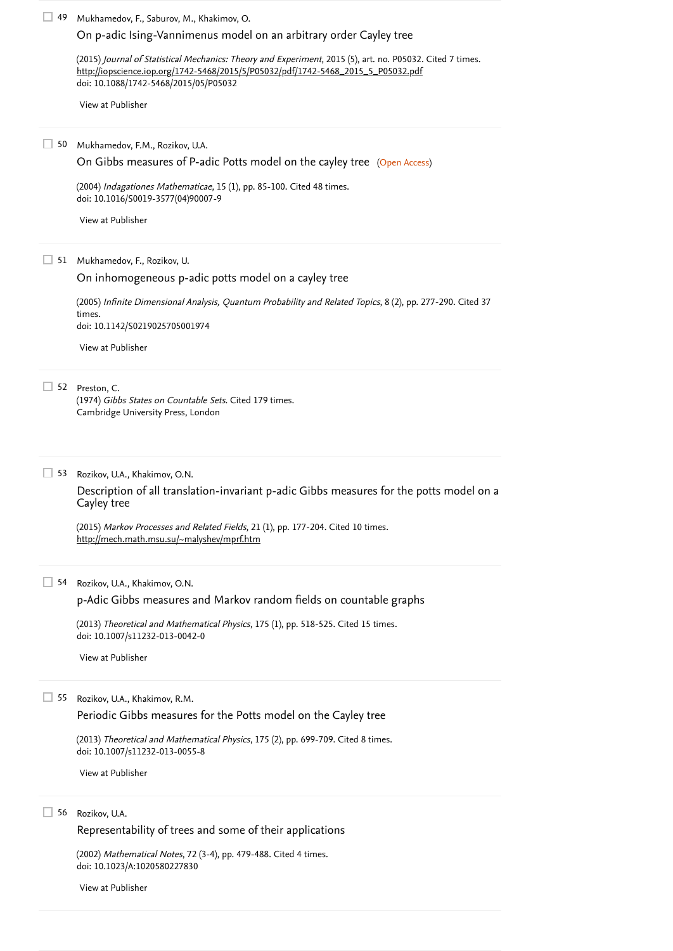(2004) *Indagationes Mathematicae*, 15 (1), pp. 85-100. [Cited 48 times](https://www.scopus.com/search/submit/citedby.uri?eid=2-s2.0-85046738178&refeid=2-s2.0-4344616812&src=s&origin=reflist&refstat=core). doi: 10.1016/S0019-3577(04)90007-9

52 Preston, C. (1974) *Gibbs States on Countable Sets*. [Cited 179 times](https://www.scopus.com/search/submit/citedby.uri?eid=2-s2.0-85046738178&refeid=2-s2.0-0003612621&src=s&origin=reflist&refstat=dummy). Cambridge University Press, London

(2013) *Theoretical and Mathematical Physics*, 175 (1), pp. 518-525. [Cited 15 times](https://www.scopus.com/search/submit/citedby.uri?eid=2-s2.0-85046738178&refeid=2-s2.0-84877351807&src=s&origin=reflist&refstat=core). doi: 10.1007/s11232-013-0042-0

(2005) [Infinite Dimensional Analysis, Quantum Probability and Related Topics](https://www.scopus.com/search/submit/citedby.uri?eid=2-s2.0-85046738178&refeid=2-s2.0-21244472321&src=s&origin=reflist&refstat=core), 8 (2), pp. 277-290. Cited 37 . times doi: 10.1142/S0219025705001974

#### (2013) *Theoretical and Mathematical Physics*, 175 (2), pp. 699-709. [Cited 8 times](https://www.scopus.com/search/submit/citedby.uri?eid=2-s2.0-85046738178&refeid=2-s2.0-84878810573&src=s&origin=reflist&refstat=core). doi: 10.1007/s11232-013-0055-8

Rozikov, U.A.  $\Box$  56

> (2002) *Mathematical Notes*, 72 (3-4), pp. 479-488. [Cited 4 times](https://www.scopus.com/search/submit/citedby.uri?eid=2-s2.0-85046738178&refeid=2-s2.0-0141848649&src=s&origin=reflist&refstat=core). doi: 10.1023/A:1020580227830

Mukhamedov, F., Saburov, M., Khakimov, O. 49

(2015) *Journal of Statistical Mechanics: Theory and Experiment*, 2015 (5), art. no. P05032. [Cited 7 times](https://www.scopus.com/search/submit/citedby.uri?eid=2-s2.0-85046738178&refeid=2-s2.0-84934883021&src=s&origin=reflist&refstat=core). doi: 10.1088/1742-5468/2015/05/P05032 [http://iopscience.iop.org/1742-5468/2015/5/P05032/pdf/1742-5468\\_2015\\_5\\_P05032.pdf](http://iopscience.iop.org/1742-5468/2015/5/P05032/pdf/1742-5468_2015_5_P05032.pdf)

(2015) *Markov Processes and Related Fields*, 21 (1), pp. 177-204. [Cited 10 times](https://www.scopus.com/search/submit/citedby.uri?eid=2-s2.0-85046738178&refeid=2-s2.0-84938055833&src=s&origin=reflist&refstat=core). <http://mech.math.msu.su/~malyshev/mprf.htm>

Mukhamedov, F., Rozikov, U. 51

Rozikov, U.A., Khakimov, O.N. 53

[On p-adic Ising-Vannimenus model on an arbitrary order Cayley tree](https://www.scopus.com/record/display.uri?eid=2-s2.0-84934883021&origin=reflist&sort=plf-f&src=s&st1=Periodic+p-adic+Gibbs+Measures+of+q-State+Potts+Model+on+Cayley+Trees+I%3a+The+Chaos+Implies+the+Vastness+of+the+Set+of+p-Adic+Gibbs+Measures&st2=&sid=e85740a43aca01317c0d39e3d999d654&sot=b&sdt=b&sl=154&s=TITLE-ABS-KEY%28Periodic+p-adic+Gibbs+Measures+of+q-State+Potts+Model+on+Cayley+Trees+I%3a+The+Chaos+Implies+the+Vastness+of+the+Set+of+p-Adic+Gibbs+Measures%29&recordRank=)

Rozikov, U.A., Khakimov, O.N. 54

[View at Publisher](https://www.scopus.com/redirect/linking.uri?targetURL=https%3a%2f%2fdoi.org%2f10.1088%2f1742-5468%2f2015%2f05%2fP05032&locationID=3&categoryID=4&eid=2-s2.0-84934883021&issn=17425468&linkType=ViewAtPublisher&year=2015&origin=reflist&dig=23c40443bdff55b79d9378ccc74bc310&recordRank=)

50 Mukhamedov, F.M., Rozikov, U.A.

[On Gibbs measures of P-adic Potts model on the cayley tree](https://www.scopus.com/record/display.uri?eid=2-s2.0-4344616812&origin=reflist&sort=plf-f&src=s&st1=Periodic+p-adic+Gibbs+Measures+of+q-State+Potts+Model+on+Cayley+Trees+I%3a+The+Chaos+Implies+the+Vastness+of+the+Set+of+p-Adic+Gibbs+Measures&st2=&sid=e85740a43aca01317c0d39e3d999d654&sot=b&sdt=b&sl=154&s=TITLE-ABS-KEY%28Periodic+p-adic+Gibbs+Measures+of+q-State+Potts+Model+on+Cayley+Trees+I%3a+The+Chaos+Implies+the+Vastness+of+the+Set+of+p-Adic+Gibbs+Measures%29&recordRank=) (Open Access)

Rozikov, U.A., Khakimov, R.M. 55

[View at Publisher](https://www.scopus.com/redirect/linking.uri?targetURL=https%3a%2f%2fdoi.org%2f10.1016%2fS0019-3577%2804%2990007-9&locationID=3&categoryID=4&eid=2-s2.0-4344616812&issn=00193577&linkType=ViewAtPublisher&year=2004&origin=reflist&dig=22943fd459a7a15a5ebfd6e3ee2f7427&recordRank=)

[On inhomogeneous p-adic potts model on a cayley tree](https://www.scopus.com/record/display.uri?eid=2-s2.0-21244472321&origin=reflist&sort=plf-f&src=s&st1=Periodic+p-adic+Gibbs+Measures+of+q-State+Potts+Model+on+Cayley+Trees+I%3a+The+Chaos+Implies+the+Vastness+of+the+Set+of+p-Adic+Gibbs+Measures&st2=&sid=e85740a43aca01317c0d39e3d999d654&sot=b&sdt=b&sl=154&s=TITLE-ABS-KEY%28Periodic+p-adic+Gibbs+Measures+of+q-State+Potts+Model+on+Cayley+Trees+I%3a+The+Chaos+Implies+the+Vastness+of+the+Set+of+p-Adic+Gibbs+Measures%29&recordRank=)

[View at Publisher](https://www.scopus.com/redirect/linking.uri?targetURL=https%3a%2f%2fdoi.org%2f10.1142%2fS0219025705001974&locationID=3&categoryID=4&eid=2-s2.0-21244472321&issn=02190257&linkType=ViewAtPublisher&year=2005&origin=reflist&dig=64be006cbe5687cee153eeafb26655c8&recordRank=)

[Description of all translation-invariant p-adic Gibbs measures for the potts model on a](https://www.scopus.com/record/display.uri?eid=2-s2.0-84938055833&origin=reflist&sort=plf-f&src=s&st1=Periodic+p-adic+Gibbs+Measures+of+q-State+Potts+Model+on+Cayley+Trees+I%3a+The+Chaos+Implies+the+Vastness+of+the+Set+of+p-Adic+Gibbs+Measures&st2=&sid=e85740a43aca01317c0d39e3d999d654&sot=b&sdt=b&sl=154&s=TITLE-ABS-KEY%28Periodic+p-adic+Gibbs+Measures+of+q-State+Potts+Model+on+Cayley+Trees+I%3a+The+Chaos+Implies+the+Vastness+of+the+Set+of+p-Adic+Gibbs+Measures%29&recordRank=) Cayley tree

[p-Adic Gibbs measures and Markov random fields on countable graphs](https://www.scopus.com/record/display.uri?eid=2-s2.0-84877351807&origin=reflist&sort=plf-f&src=s&st1=Periodic+p-adic+Gibbs+Measures+of+q-State+Potts+Model+on+Cayley+Trees+I%3a+The+Chaos+Implies+the+Vastness+of+the+Set+of+p-Adic+Gibbs+Measures&st2=&sid=e85740a43aca01317c0d39e3d999d654&sot=b&sdt=b&sl=154&s=TITLE-ABS-KEY%28Periodic+p-adic+Gibbs+Measures+of+q-State+Potts+Model+on+Cayley+Trees+I%3a+The+Chaos+Implies+the+Vastness+of+the+Set+of+p-Adic+Gibbs+Measures%29&recordRank=)

[View at Publisher](https://www.scopus.com/redirect/linking.uri?targetURL=https%3a%2f%2fdoi.org%2f10.1007%2fs11232-013-0042-0&locationID=3&categoryID=4&eid=2-s2.0-84877351807&issn=00405779&linkType=ViewAtPublisher&year=2013&origin=reflist&dig=4951fc9d43d371c0f59e1f08515461d9&recordRank=)

[Periodic Gibbs measures for the Potts model on the Cayley tree](https://www.scopus.com/record/display.uri?eid=2-s2.0-84878810573&origin=reflist&sort=plf-f&src=s&st1=Periodic+p-adic+Gibbs+Measures+of+q-State+Potts+Model+on+Cayley+Trees+I%3a+The+Chaos+Implies+the+Vastness+of+the+Set+of+p-Adic+Gibbs+Measures&st2=&sid=e85740a43aca01317c0d39e3d999d654&sot=b&sdt=b&sl=154&s=TITLE-ABS-KEY%28Periodic+p-adic+Gibbs+Measures+of+q-State+Potts+Model+on+Cayley+Trees+I%3a+The+Chaos+Implies+the+Vastness+of+the+Set+of+p-Adic+Gibbs+Measures%29&recordRank=)

[View at Publisher](https://www.scopus.com/redirect/linking.uri?targetURL=https%3a%2f%2fdoi.org%2f10.1007%2fs11232-013-0055-8&locationID=3&categoryID=4&eid=2-s2.0-84878810573&issn=00405779&linkType=ViewAtPublisher&year=2013&origin=reflist&dig=88ad7d4ea81c1fe8505703279a1d2358&recordRank=)

[Representability of trees and some of their applications](https://www.scopus.com/record/display.uri?eid=2-s2.0-0141848649&origin=reflist&sort=plf-f&src=s&st1=Periodic+p-adic+Gibbs+Measures+of+q-State+Potts+Model+on+Cayley+Trees+I%3a+The+Chaos+Implies+the+Vastness+of+the+Set+of+p-Adic+Gibbs+Measures&st2=&sid=e85740a43aca01317c0d39e3d999d654&sot=b&sdt=b&sl=154&s=TITLE-ABS-KEY%28Periodic+p-adic+Gibbs+Measures+of+q-State+Potts+Model+on+Cayley+Trees+I%3a+The+Chaos+Implies+the+Vastness+of+the+Set+of+p-Adic+Gibbs+Measures%29&recordRank=)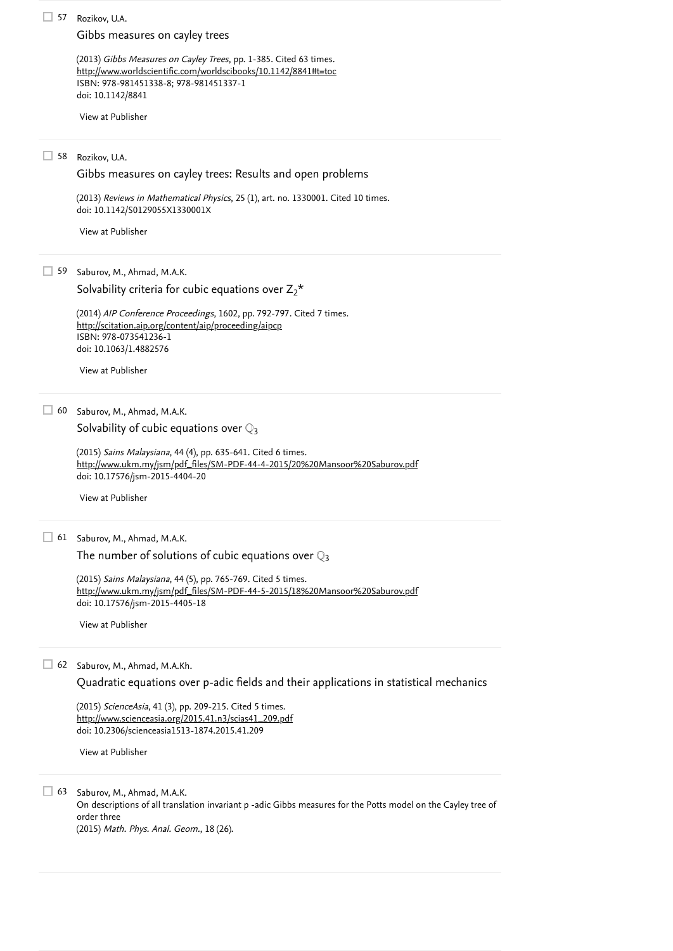(2013) *Reviews in Mathematical Physics*, 25 (1), art. no. 1330001. [Cited 10 times](https://www.scopus.com/search/submit/citedby.uri?eid=2-s2.0-85046738178&refeid=2-s2.0-84873386304&src=s&origin=reflist&refstat=core). doi: 10.1142/S0129055X1330001X

Saburov, M., Ahmad, M.A.K.  $\Box$  63

Rozikov, U.A. 57

(2013) *Gibbs Measures on Cayley Trees*, pp. 1-385. [Cited 63 times](https://www.scopus.com/search/submit/citedby.uri?eid=2-s2.0-85046738178&refeid=2-s2.0-84967531093&src=s&origin=reflist&refstat=core). ISBN: 978-981451338-8; 978-981451337-1 doi: 10.1142/8841 <http://www.worldscientific.com/worldscibooks/10.1142/8841#t=toc>

Rozikov, U.A. 58

(2014) *AIP Conference Proceedings*, 1602, pp. 792-797. [Cited 7 times](https://www.scopus.com/search/submit/citedby.uri?eid=2-s2.0-85046738178&refeid=2-s2.0-84904128490&src=s&origin=reflist&refstat=core). ISBN: 978-073541236-1 doi: 10.1063/1.4882576 <http://scitation.aip.org/content/aip/proceeding/aipcp>

doi: 10.2306/scienceasia1513-1874.2015.41.209

(2015) *Sains Malaysiana*, 44 (4), pp. 635-641. [Cited 6 times](https://www.scopus.com/search/submit/citedby.uri?eid=2-s2.0-85046738178&refeid=2-s2.0-84929612916&src=s&origin=reflist&refstat=core). doi: 10.17576/jsm-2015-4404-20 [http://www.ukm.my/jsm/pdf\\_files/SM-PDF-44-4-2015/20%20Mansoor%20Saburov.pdf](http://www.ukm.my/jsm/pdf_files/SM-PDF-44-4-2015/20%20Mansoor%20Saburov.pdf)

(2015) *Sains Malaysiana*, 44 (5), pp. 765-769. [Cited 5 times](https://www.scopus.com/search/submit/citedby.uri?eid=2-s2.0-85046738178&refeid=2-s2.0-84929632985&src=s&origin=reflist&refstat=core). doi: 10.17576/jsm-2015-4405-18 [http://www.ukm.my/jsm/pdf\\_files/SM-PDF-44-5-2015/18%20Mansoor%20Saburov.pdf](http://www.ukm.my/jsm/pdf_files/SM-PDF-44-5-2015/18%20Mansoor%20Saburov.pdf)

On descriptions of all translation invariant p -adic Gibbs measures for the Potts model on the Cayley tree of order three

Saburov, M., Ahmad, M.A.K. 60

[Solvability of cubic equations over](https://www.scopus.com/record/display.uri?eid=2-s2.0-84929612916&origin=reflist&sort=plf-f&src=s&st1=Periodic+p-adic+Gibbs+Measures+of+q-State+Potts+Model+on+Cayley+Trees+I%3a+The+Chaos+Implies+the+Vastness+of+the+Set+of+p-Adic+Gibbs+Measures&st2=&sid=e85740a43aca01317c0d39e3d999d654&sot=b&sdt=b&sl=154&s=TITLE-ABS-KEY%28Periodic+p-adic+Gibbs+Measures+of+q-State+Potts+Model+on+Cayley+Trees+I%3a+The+Chaos+Implies+the+Vastness+of+the+Set+of+p-Adic+Gibbs+Measures%29&recordRank=)  $\mathbb{Q}_3$ 

(2015) *ScienceAsia*, 41 (3), pp. 209-215. [Cited 5 times](https://www.scopus.com/search/submit/citedby.uri?eid=2-s2.0-85046738178&refeid=2-s2.0-84942059047&src=s&origin=reflist&refstat=core). [http://www.scienceasia.org/2015.41.n3/scias41\\_209.pdf](http://www.scienceasia.org/2015.41.n3/scias41_209.pdf)

(2015) Math. Phys. Anal. Geom., 18 (26).

[Gibbs measures on cayley trees](https://www.scopus.com/record/display.uri?eid=2-s2.0-84967531093&origin=reflist&sort=plf-f&src=s&st1=Periodic+p-adic+Gibbs+Measures+of+q-State+Potts+Model+on+Cayley+Trees+I%3a+The+Chaos+Implies+the+Vastness+of+the+Set+of+p-Adic+Gibbs+Measures&st2=&sid=e85740a43aca01317c0d39e3d999d654&sot=b&sdt=b&sl=154&s=TITLE-ABS-KEY%28Periodic+p-adic+Gibbs+Measures+of+q-State+Potts+Model+on+Cayley+Trees+I%3a+The+Chaos+Implies+the+Vastness+of+the+Set+of+p-Adic+Gibbs+Measures%29&recordRank=)

Saburov, M., Ahmad, M.A.K. 61

[The number of solutions of cubic equations over](https://www.scopus.com/record/display.uri?eid=2-s2.0-84929632985&origin=reflist&sort=plf-f&src=s&st1=Periodic+p-adic+Gibbs+Measures+of+q-State+Potts+Model+on+Cayley+Trees+I%3a+The+Chaos+Implies+the+Vastness+of+the+Set+of+p-Adic+Gibbs+Measures&st2=&sid=e85740a43aca01317c0d39e3d999d654&sot=b&sdt=b&sl=154&s=TITLE-ABS-KEY%28Periodic+p-adic+Gibbs+Measures+of+q-State+Potts+Model+on+Cayley+Trees+I%3a+The+Chaos+Implies+the+Vastness+of+the+Set+of+p-Adic+Gibbs+Measures%29&recordRank=)  $\mathbb{Q}_3$ 

[View at Publisher](https://www.scopus.com/redirect/linking.uri?targetURL=https%3a%2f%2fdoi.org%2f10.1142%2f8841&locationID=3&categoryID=4&eid=2-s2.0-84967531093&issn=&linkType=ViewAtPublisher&year=2013&origin=reflist&dig=3d2ef535a8fb874f215b97611b801f99&recordRank=)

[Gibbs measures on cayley trees: Results and open problems](https://www.scopus.com/record/display.uri?eid=2-s2.0-84873386304&origin=reflist&sort=plf-f&src=s&st1=Periodic+p-adic+Gibbs+Measures+of+q-State+Potts+Model+on+Cayley+Trees+I%3a+The+Chaos+Implies+the+Vastness+of+the+Set+of+p-Adic+Gibbs+Measures&st2=&sid=e85740a43aca01317c0d39e3d999d654&sot=b&sdt=b&sl=154&s=TITLE-ABS-KEY%28Periodic+p-adic+Gibbs+Measures+of+q-State+Potts+Model+on+Cayley+Trees+I%3a+The+Chaos+Implies+the+Vastness+of+the+Set+of+p-Adic+Gibbs+Measures%29&recordRank=)

Saburov, M., Ahmad, M.A.Kh. 62

[View at Publisher](https://www.scopus.com/redirect/linking.uri?targetURL=https%3a%2f%2fdoi.org%2f10.1142%2fS0129055X1330001X&locationID=3&categoryID=4&eid=2-s2.0-84873386304&issn=0129055X&linkType=ViewAtPublisher&year=2013&origin=reflist&dig=063a4245e099e64a1328cdc02572e818&recordRank=)

59 Saburov, M., Ahmad, M.A.K.

Solvability criteria for cubic equations over  $Z_2^*$ 

[View at Publisher](https://www.scopus.com/redirect/linking.uri?targetURL=https%3a%2f%2fdoi.org%2f10.1063%2f1.4882576&locationID=3&categoryID=4&eid=2-s2.0-84904128490&issn=15517616&linkType=ViewAtPublisher&year=2014&origin=reflist&dig=c9c2c91221c40e3e58f8475e8b3eee4e&recordRank=)

[View at Publisher](https://www.scopus.com/redirect/linking.uri?targetURL=https%3a%2f%2fdoi.org%2f10.17576%2fjsm-2015-4404-20&locationID=3&categoryID=4&eid=2-s2.0-84929612916&issn=01266039&linkType=ViewAtPublisher&year=2015&origin=reflist&dig=92f9455352dba2052e23d3d120b59fdb&recordRank=)

[View at Publisher](https://www.scopus.com/redirect/linking.uri?targetURL=https%3a%2f%2fdoi.org%2f10.17576%2fjsm-2015-4405-18&locationID=3&categoryID=4&eid=2-s2.0-84929632985&issn=01266039&linkType=ViewAtPublisher&year=2015&origin=reflist&dig=a395a507623d7f5e66b91a176be89f58&recordRank=)

[Quadratic equations over p-adic fields and their applications in statistical mechanics](https://www.scopus.com/record/display.uri?eid=2-s2.0-84942059047&origin=reflist&sort=plf-f&src=s&st1=Periodic+p-adic+Gibbs+Measures+of+q-State+Potts+Model+on+Cayley+Trees+I%3a+The+Chaos+Implies+the+Vastness+of+the+Set+of+p-Adic+Gibbs+Measures&st2=&sid=e85740a43aca01317c0d39e3d999d654&sot=b&sdt=b&sl=154&s=TITLE-ABS-KEY%28Periodic+p-adic+Gibbs+Measures+of+q-State+Potts+Model+on+Cayley+Trees+I%3a+The+Chaos+Implies+the+Vastness+of+the+Set+of+p-Adic+Gibbs+Measures%29&recordRank=)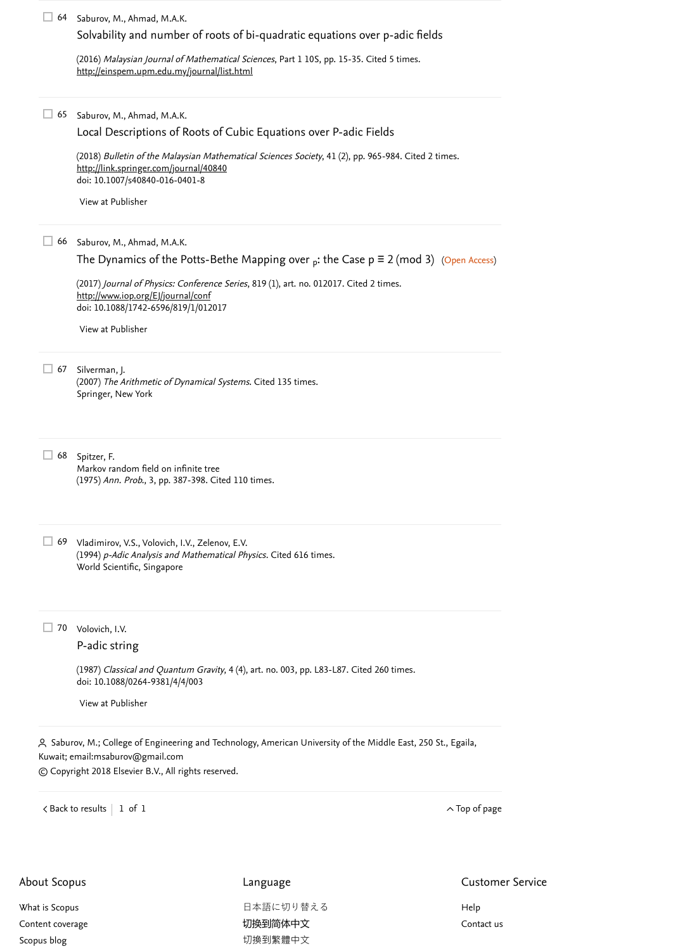67 Silverman, J. (2007) *The Arithmetic of Dynamical Systems*. [Cited 135 times](https://www.scopus.com/search/submit/citedby.uri?eid=2-s2.0-85046738178&refeid=2-s2.0-36348994830&src=s&origin=reflist&refstat=dummy). Springer, New York

(1987) *Classical and Quantum Gravity*, 4 (4), art. no. 003, pp. L83-L87. [Cited 260 times](https://www.scopus.com/search/submit/citedby.uri?eid=2-s2.0-85046738178&refeid=2-s2.0-12444268581&src=s&origin=reflist&refstat=core). doi: 10.1088/0264-9381/4/4/003

Saburov, M., Ahmad, M.A.K. 64

(2016) *Malaysian Journal of Mathematical Sciences*, Part 1 10S, pp. 15-35. [Cited 5 times](https://www.scopus.com/search/submit/citedby.uri?eid=2-s2.0-85046738178&refeid=2-s2.0-84975257946&src=s&origin=reflist&refstat=core). <http://einspem.upm.edu.my/journal/list.html>

Saburov, M., Ahmad, M.A.K. 65

(2018) *Bulletin of the Malaysian Mathematical Sciences Society*, 41 (2), pp. 965-984. [Cited 2 times](https://www.scopus.com/search/submit/citedby.uri?eid=2-s2.0-85046738178&refeid=2-s2.0-85027070101&src=s&origin=reflist&refstat=core). doi: 10.1007/s40840-016-0401-8 <http://link.springer.com/journal/40840>

Vladimirov, V.S., Volovich, I.V., Zelenov, E.V. 69 (1994)  $p$ -Adic Analysis and Mathematical Physics. [Cited 616 times](https://www.scopus.com/search/submit/citedby.uri?eid=2-s2.0-85046738178&refeid=2-s2.0-0003957229&src=s&origin=reflist&refstat=dummy). World Scientific, Singapore

(2017) *Journal of Physics: Conference Series*, 819 (1), art. no. 012017. [Cited 2 times](https://www.scopus.com/search/submit/citedby.uri?eid=2-s2.0-85046738178&refeid=2-s2.0-85018792572&src=s&origin=reflist&refstat=core). doi: 10.1088/1742-6596/819/1/012017 <http://www.iop.org/EJ/journal/conf>

Saburov, M., Ahmad, M.A.K. 66

[The Dynamics of the Potts-Bethe Mapping over](https://www.scopus.com/record/display.uri?eid=2-s2.0-85018792572&origin=reflist&sort=plf-f&src=s&st1=Periodic+p-adic+Gibbs+Measures+of+q-State+Potts+Model+on+Cayley+Trees+I%3a+The+Chaos+Implies+the+Vastness+of+the+Set+of+p-Adic+Gibbs+Measures&st2=&sid=e85740a43aca01317c0d39e3d999d654&sot=b&sdt=b&sl=154&s=TITLE-ABS-KEY%28Periodic+p-adic+Gibbs+Measures+of+q-State+Potts+Model+on+Cayley+Trees+I%3a+The+Chaos+Implies+the+Vastness+of+the+Set+of+p-Adic+Gibbs+Measures%29&recordRank=)  $_{\sf p}$ : the Case p = 2 (mod 3) (Open Access)

日本語に切り替える [切换到简体中文](https://www.scopus.com/personalization/switch/Chinese.uri?origin=recordpage&zone=footer&locale=zh_CN) [切換到繁體中文](https://www.scopus.com/personalization/switch/Chinese.uri?origin=recordpage&zone=footer&locale=zh_TW)

<span id="page-9-0"></span> Saburov, M.; College of Engineering and Technology, American University of the Middle East, 250 St., Egaila, Kuwait; email: [msaburov@gmail.com](mailto:msaburov@gmail.com) © Copyright 2018 Elsevier B.V., All rights reserved.

 $\prec$  [Back to results](https://www.scopus.com/results/results.uri?sort=plf-f&src=s&st1=Periodic+p-adic+Gibbs+Measures+of+q-State+Potts+Model+on+Cayley+Trees+I%3a+The+Chaos+Implies+the+Vastness+of+the+Set+of+p-Adic+Gibbs+Measures&st2=&sid=e85740a43aca01317c0d39e3d999d654&sot=b&sdt=b&sl=154&s=TITLE-ABS-KEY%28Periodic+p-adic+Gibbs+Measures+of+q-State+Potts+Model+on+Cayley+Trees+I%3a+The+Chaos+Implies+the+Vastness+of+the+Set+of+p-Adic+Gibbs+Measures%29&offset=1&origin=recordpage)  $\mid$   $\;$  1 of  $\;$  1  $\;$ 

| $\Box$ 68 Spitzer, F.                               |
|-----------------------------------------------------|
| Markov random field on infinite tree                |
| (1975) Ann. Prob., 3, pp. 387-398. Cited 110 times. |

[Solvability and number of roots of bi-quadratic equations over p-adic fields](https://www.scopus.com/record/display.uri?eid=2-s2.0-84975257946&origin=reflist&sort=plf-f&src=s&st1=Periodic+p-adic+Gibbs+Measures+of+q-State+Potts+Model+on+Cayley+Trees+I%3a+The+Chaos+Implies+the+Vastness+of+the+Set+of+p-Adic+Gibbs+Measures&st2=&sid=e85740a43aca01317c0d39e3d999d654&sot=b&sdt=b&sl=154&s=TITLE-ABS-KEY%28Periodic+p-adic+Gibbs+Measures+of+q-State+Potts+Model+on+Cayley+Trees+I%3a+The+Chaos+Implies+the+Vastness+of+the+Set+of+p-Adic+Gibbs+Measures%29&recordRank=)

Volovich, I.V. 70

[Local Descriptions of Roots of Cubic Equations over P-adic Fields](https://www.scopus.com/record/display.uri?eid=2-s2.0-85027070101&origin=reflist&sort=plf-f&src=s&st1=Periodic+p-adic+Gibbs+Measures+of+q-State+Potts+Model+on+Cayley+Trees+I%3a+The+Chaos+Implies+the+Vastness+of+the+Set+of+p-Adic+Gibbs+Measures&st2=&sid=e85740a43aca01317c0d39e3d999d654&sot=b&sdt=b&sl=154&s=TITLE-ABS-KEY%28Periodic+p-adic+Gibbs+Measures+of+q-State+Potts+Model+on+Cayley+Trees+I%3a+The+Chaos+Implies+the+Vastness+of+the+Set+of+p-Adic+Gibbs+Measures%29&recordRank=)

[View at Publisher](https://www.scopus.com/redirect/linking.uri?targetURL=https%3a%2f%2fdoi.org%2f10.1007%2fs40840-016-0401-8&locationID=3&categoryID=4&eid=2-s2.0-85027070101&issn=21804206&linkType=ViewAtPublisher&year=2018&origin=reflist&dig=2f04bfe1ae93abeac759e660eb3a6926&recordRank=)

[View at Publisher](https://www.scopus.com/redirect/linking.uri?targetURL=https%3a%2f%2fdoi.org%2f10.1088%2f1742-6596%2f819%2f1%2f012017&locationID=3&categoryID=4&eid=2-s2.0-85018792572&issn=17426596&linkType=ViewAtPublisher&year=2017&origin=reflist&dig=f927ab6e5d3d43d7c20ee385155aa5db&recordRank=)

[P-adic string](https://www.scopus.com/record/display.uri?eid=2-s2.0-12444268581&origin=reflist&sort=plf-f&src=s&st1=Periodic+p-adic+Gibbs+Measures+of+q-State+Potts+Model+on+Cayley+Trees+I%3a+The+Chaos+Implies+the+Vastness+of+the+Set+of+p-Adic+Gibbs+Measures&st2=&sid=e85740a43aca01317c0d39e3d999d654&sot=b&sdt=b&sl=154&s=TITLE-ABS-KEY%28Periodic+p-adic+Gibbs+Measures+of+q-State+Potts+Model+on+Cayley+Trees+I%3a+The+Chaos+Implies+the+Vastness+of+the+Set+of+p-Adic+Gibbs+Measures%29&recordRank=)

[View at Publisher](https://www.scopus.com/redirect/linking.uri?targetURL=https%3a%2f%2fdoi.org%2f10.1088%2f0264-9381%2f4%2f4%2f003&locationID=3&categoryID=4&eid=2-s2.0-12444268581&issn=02649381&linkType=ViewAtPublisher&year=1987&origin=reflist&dig=538f505519869ba5acecfc638dfc93da&recordRank=)

About Scopus

[What is Scopus](https://www.elsevier.com/online-tools/scopus)

[Content coverage](https://www.elsevier.com/online-tools/scopus/content-overview/)

[Scopus blog](https://blog.scopus.com/)

#### Language

Customer Service

[Help](https://www.scopus.com/standard/contactUs.uri?pageOrigin=footer)

[Contact us](https://www.scopus.com/standard/contactForm.uri?pageOrigin=footer)